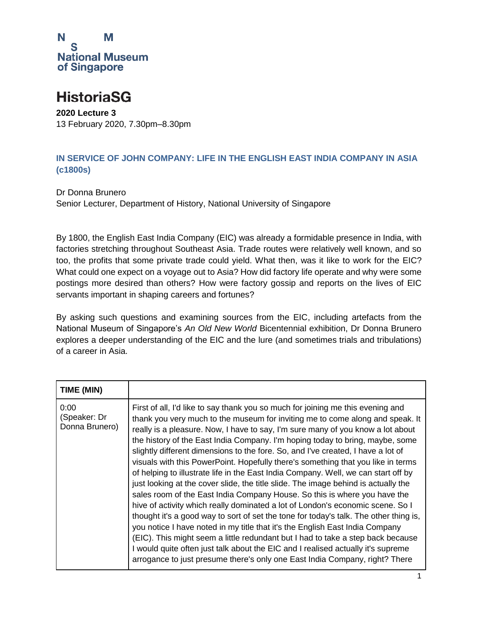

### **HistoriaSG**

**2020 Lecture 3** 13 February 2020, 7.30pm–8.30pm

### **IN SERVICE OF JOHN COMPANY: LIFE IN THE ENGLISH EAST INDIA COMPANY IN ASIA (c1800s)**

Dr Donna Brunero Senior Lecturer, Department of History, National University of Singapore

By 1800, the English East India Company (EIC) was already a formidable presence in India, with factories stretching throughout Southeast Asia. Trade routes were relatively well known, and so too, the profits that some private trade could yield. What then, was it like to work for the EIC? What could one expect on a voyage out to Asia? How did factory life operate and why were some postings more desired than others? How were factory gossip and reports on the lives of EIC servants important in shaping careers and fortunes?

By asking such questions and examining sources from the EIC, including artefacts from the National Museum of Singapore's *An Old New World* Bicentennial exhibition, Dr Donna Brunero explores a deeper understanding of the EIC and the lure (and sometimes trials and tribulations) of a career in Asia.

| TIME (MIN)                             |                                                                                                                                                                                                                                                                                                                                                                                                                                                                                                                                                                                                                                                                                                                                                                                                                                                                                                                                                                                                                                                                                                                                                                                                                                                                                        |
|----------------------------------------|----------------------------------------------------------------------------------------------------------------------------------------------------------------------------------------------------------------------------------------------------------------------------------------------------------------------------------------------------------------------------------------------------------------------------------------------------------------------------------------------------------------------------------------------------------------------------------------------------------------------------------------------------------------------------------------------------------------------------------------------------------------------------------------------------------------------------------------------------------------------------------------------------------------------------------------------------------------------------------------------------------------------------------------------------------------------------------------------------------------------------------------------------------------------------------------------------------------------------------------------------------------------------------------|
| 0:00<br>(Speaker: Dr<br>Donna Brunero) | First of all, I'd like to say thank you so much for joining me this evening and<br>thank you very much to the museum for inviting me to come along and speak. It<br>really is a pleasure. Now, I have to say, I'm sure many of you know a lot about<br>the history of the East India Company. I'm hoping today to bring, maybe, some<br>slightly different dimensions to the fore. So, and I've created, I have a lot of<br>visuals with this PowerPoint. Hopefully there's something that you like in terms<br>of helping to illustrate life in the East India Company. Well, we can start off by<br>just looking at the cover slide, the title slide. The image behind is actually the<br>sales room of the East India Company House. So this is where you have the<br>hive of activity which really dominated a lot of London's economic scene. So I<br>thought it's a good way to sort of set the tone for today's talk. The other thing is,<br>you notice I have noted in my title that it's the English East India Company<br>(EIC). This might seem a little redundant but I had to take a step back because<br>I would quite often just talk about the EIC and I realised actually it's supreme<br>arrogance to just presume there's only one East India Company, right? There |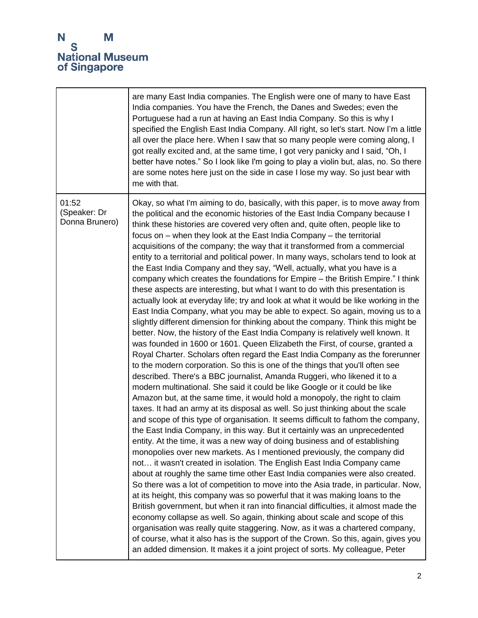|                                         | are many East India companies. The English were one of many to have East<br>India companies. You have the French, the Danes and Swedes; even the<br>Portuguese had a run at having an East India Company. So this is why I<br>specified the English East India Company. All right, so let's start. Now I'm a little<br>all over the place here. When I saw that so many people were coming along, I<br>got really excited and, at the same time, I got very panicky and I said, "Oh, I<br>better have notes." So I look like I'm going to play a violin but, alas, no. So there<br>are some notes here just on the side in case I lose my way. So just bear with<br>me with that.                                                                                                                                                                                                                                                                                                                                                                                                                                                                                                                                                                                                                                                                                                                                                                                                                                                                                                                                                                                                                                                                                                                                                                                                                                                                                                                                                                                                                                                                                                                                                                                                                                                                                                                                                                                                                                                                                                                                                                                                                                                                                      |
|-----------------------------------------|------------------------------------------------------------------------------------------------------------------------------------------------------------------------------------------------------------------------------------------------------------------------------------------------------------------------------------------------------------------------------------------------------------------------------------------------------------------------------------------------------------------------------------------------------------------------------------------------------------------------------------------------------------------------------------------------------------------------------------------------------------------------------------------------------------------------------------------------------------------------------------------------------------------------------------------------------------------------------------------------------------------------------------------------------------------------------------------------------------------------------------------------------------------------------------------------------------------------------------------------------------------------------------------------------------------------------------------------------------------------------------------------------------------------------------------------------------------------------------------------------------------------------------------------------------------------------------------------------------------------------------------------------------------------------------------------------------------------------------------------------------------------------------------------------------------------------------------------------------------------------------------------------------------------------------------------------------------------------------------------------------------------------------------------------------------------------------------------------------------------------------------------------------------------------------------------------------------------------------------------------------------------------------------------------------------------------------------------------------------------------------------------------------------------------------------------------------------------------------------------------------------------------------------------------------------------------------------------------------------------------------------------------------------------------------------------------------------------------------------------------------------------|
| 01:52<br>(Speaker: Dr<br>Donna Brunero) | Okay, so what I'm aiming to do, basically, with this paper, is to move away from<br>the political and the economic histories of the East India Company because I<br>think these histories are covered very often and, quite often, people like to<br>focus on – when they look at the East India Company – the territorial<br>acquisitions of the company; the way that it transformed from a commercial<br>entity to a territorial and political power. In many ways, scholars tend to look at<br>the East India Company and they say, "Well, actually, what you have is a<br>company which creates the foundations for Empire - the British Empire." I think<br>these aspects are interesting, but what I want to do with this presentation is<br>actually look at everyday life; try and look at what it would be like working in the<br>East India Company, what you may be able to expect. So again, moving us to a<br>slightly different dimension for thinking about the company. Think this might be<br>better. Now, the history of the East India Company is relatively well known. It<br>was founded in 1600 or 1601. Queen Elizabeth the First, of course, granted a<br>Royal Charter. Scholars often regard the East India Company as the forerunner<br>to the modern corporation. So this is one of the things that you'll often see<br>described. There's a BBC journalist, Amanda Ruggeri, who likened it to a<br>modern multinational. She said it could be like Google or it could be like<br>Amazon but, at the same time, it would hold a monopoly, the right to claim<br>taxes. It had an army at its disposal as well. So just thinking about the scale<br>and scope of this type of organisation. It seems difficult to fathom the company,<br>the East India Company, in this way. But it certainly was an unprecedented<br>entity. At the time, it was a new way of doing business and of establishing<br>monopolies over new markets. As I mentioned previously, the company did<br>not it wasn't created in isolation. The English East India Company came<br>about at roughly the same time other East India companies were also created.<br>So there was a lot of competition to move into the Asia trade, in particular. Now,<br>at its height, this company was so powerful that it was making loans to the<br>British government, but when it ran into financial difficulties, it almost made the<br>economy collapse as well. So again, thinking about scale and scope of this<br>organisation was really quite staggering. Now, as it was a chartered company,<br>of course, what it also has is the support of the Crown. So this, again, gives you<br>an added dimension. It makes it a joint project of sorts. My colleague, Peter |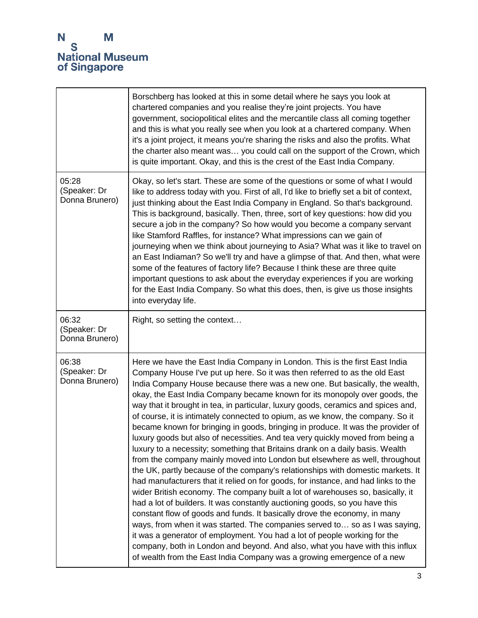|                                         | Borschberg has looked at this in some detail where he says you look at<br>chartered companies and you realise they're joint projects. You have<br>government, sociopolitical elites and the mercantile class all coming together<br>and this is what you really see when you look at a chartered company. When<br>it's a joint project, it means you're sharing the risks and also the profits. What<br>the charter also meant was you could call on the support of the Crown, which<br>is quite important. Okay, and this is the crest of the East India Company.                                                                                                                                                                                                                                                                                                                                                                                                                                                                                                                                                                                                                                                                                                                                                                                                                                                                                                                                                                                                            |
|-----------------------------------------|-------------------------------------------------------------------------------------------------------------------------------------------------------------------------------------------------------------------------------------------------------------------------------------------------------------------------------------------------------------------------------------------------------------------------------------------------------------------------------------------------------------------------------------------------------------------------------------------------------------------------------------------------------------------------------------------------------------------------------------------------------------------------------------------------------------------------------------------------------------------------------------------------------------------------------------------------------------------------------------------------------------------------------------------------------------------------------------------------------------------------------------------------------------------------------------------------------------------------------------------------------------------------------------------------------------------------------------------------------------------------------------------------------------------------------------------------------------------------------------------------------------------------------------------------------------------------------|
| 05:28<br>(Speaker: Dr<br>Donna Brunero) | Okay, so let's start. These are some of the questions or some of what I would<br>like to address today with you. First of all, I'd like to briefly set a bit of context,<br>just thinking about the East India Company in England. So that's background.<br>This is background, basically. Then, three, sort of key questions: how did you<br>secure a job in the company? So how would you become a company servant<br>like Stamford Raffles, for instance? What impressions can we gain of<br>journeying when we think about journeying to Asia? What was it like to travel on<br>an East Indiaman? So we'll try and have a glimpse of that. And then, what were<br>some of the features of factory life? Because I think these are three quite<br>important questions to ask about the everyday experiences if you are working<br>for the East India Company. So what this does, then, is give us those insights<br>into everyday life.                                                                                                                                                                                                                                                                                                                                                                                                                                                                                                                                                                                                                                    |
| 06:32<br>(Speaker: Dr<br>Donna Brunero) | Right, so setting the context                                                                                                                                                                                                                                                                                                                                                                                                                                                                                                                                                                                                                                                                                                                                                                                                                                                                                                                                                                                                                                                                                                                                                                                                                                                                                                                                                                                                                                                                                                                                                 |
| 06:38<br>(Speaker: Dr<br>Donna Brunero) | Here we have the East India Company in London. This is the first East India<br>Company House I've put up here. So it was then referred to as the old East<br>India Company House because there was a new one. But basically, the wealth,<br>okay, the East India Company became known for its monopoly over goods, the<br>way that it brought in tea, in particular, luxury goods, ceramics and spices and,<br>of course, it is intimately connected to opium, as we know, the company. So it<br>became known for bringing in goods, bringing in produce. It was the provider of<br>luxury goods but also of necessities. And tea very quickly moved from being a<br>luxury to a necessity; something that Britains drank on a daily basis. Wealth<br>from the company mainly moved into London but elsewhere as well, throughout<br>the UK, partly because of the company's relationships with domestic markets. It<br>had manufacturers that it relied on for goods, for instance, and had links to the<br>wider British economy. The company built a lot of warehouses so, basically, it<br>had a lot of builders. It was constantly auctioning goods, so you have this<br>constant flow of goods and funds. It basically drove the economy, in many<br>ways, from when it was started. The companies served to so as I was saying,<br>it was a generator of employment. You had a lot of people working for the<br>company, both in London and beyond. And also, what you have with this influx<br>of wealth from the East India Company was a growing emergence of a new |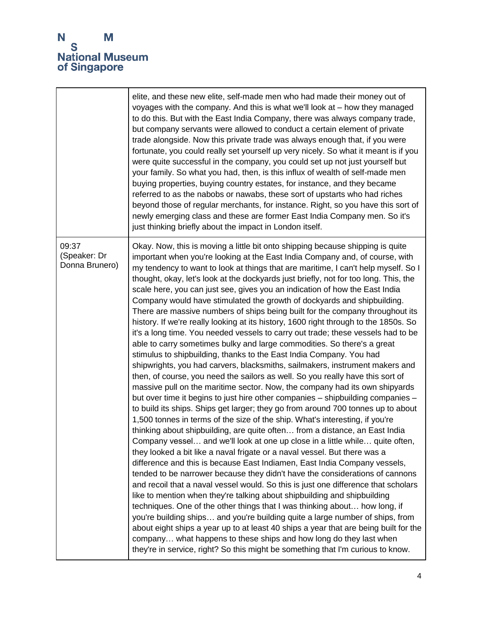|                                         | elite, and these new elite, self-made men who had made their money out of<br>voyages with the company. And this is what we'll look at - how they managed<br>to do this. But with the East India Company, there was always company trade,<br>but company servants were allowed to conduct a certain element of private<br>trade alongside. Now this private trade was always enough that, if you were<br>fortunate, you could really set yourself up very nicely. So what it meant is if you<br>were quite successful in the company, you could set up not just yourself but<br>your family. So what you had, then, is this influx of wealth of self-made men<br>buying properties, buying country estates, for instance, and they became<br>referred to as the nabobs or nawabs, these sort of upstarts who had riches<br>beyond those of regular merchants, for instance. Right, so you have this sort of<br>newly emerging class and these are former East India Company men. So it's<br>just thinking briefly about the impact in London itself.                                                                                                                                                                                                                                                                                                                                                                                                                                                                                                                                                                                                                                                                                                                                                                                                                                                                                                                                                                                                                                                                                                                                                                                                                                                                                                                                                                      |
|-----------------------------------------|--------------------------------------------------------------------------------------------------------------------------------------------------------------------------------------------------------------------------------------------------------------------------------------------------------------------------------------------------------------------------------------------------------------------------------------------------------------------------------------------------------------------------------------------------------------------------------------------------------------------------------------------------------------------------------------------------------------------------------------------------------------------------------------------------------------------------------------------------------------------------------------------------------------------------------------------------------------------------------------------------------------------------------------------------------------------------------------------------------------------------------------------------------------------------------------------------------------------------------------------------------------------------------------------------------------------------------------------------------------------------------------------------------------------------------------------------------------------------------------------------------------------------------------------------------------------------------------------------------------------------------------------------------------------------------------------------------------------------------------------------------------------------------------------------------------------------------------------------------------------------------------------------------------------------------------------------------------------------------------------------------------------------------------------------------------------------------------------------------------------------------------------------------------------------------------------------------------------------------------------------------------------------------------------------------------------------------------------------------------------------------------------------------------------------|
| 09:37<br>(Speaker: Dr<br>Donna Brunero) | Okay. Now, this is moving a little bit onto shipping because shipping is quite<br>important when you're looking at the East India Company and, of course, with<br>my tendency to want to look at things that are maritime, I can't help myself. So I<br>thought, okay, let's look at the dockyards just briefly, not for too long. This, the<br>scale here, you can just see, gives you an indication of how the East India<br>Company would have stimulated the growth of dockyards and shipbuilding.<br>There are massive numbers of ships being built for the company throughout its<br>history. If we're really looking at its history, 1600 right through to the 1850s. So<br>it's a long time. You needed vessels to carry out trade; these vessels had to be<br>able to carry sometimes bulky and large commodities. So there's a great<br>stimulus to shipbuilding, thanks to the East India Company. You had<br>shipwrights, you had carvers, blacksmiths, sailmakers, instrument makers and<br>then, of course, you need the sailors as well. So you really have this sort of<br>massive pull on the maritime sector. Now, the company had its own shipyards<br>but over time it begins to just hire other companies - shipbuilding companies -<br>to build its ships. Ships get larger; they go from around 700 tonnes up to about<br>1,500 tonnes in terms of the size of the ship. What's interesting, if you're<br>thinking about shipbuilding, are quite often from a distance, an East India<br>Company vessel and we'll look at one up close in a little while quite often,<br>they looked a bit like a naval frigate or a naval vessel. But there was a<br>difference and this is because East Indiamen, East India Company vessels,<br>tended to be narrower because they didn't have the considerations of cannons<br>and recoil that a naval vessel would. So this is just one difference that scholars<br>like to mention when they're talking about shipbuilding and shipbuilding<br>techniques. One of the other things that I was thinking about how long, if<br>you're building ships and you're building quite a large number of ships, from<br>about eight ships a year up to at least 40 ships a year that are being built for the<br>company what happens to these ships and how long do they last when<br>they're in service, right? So this might be something that I'm curious to know. |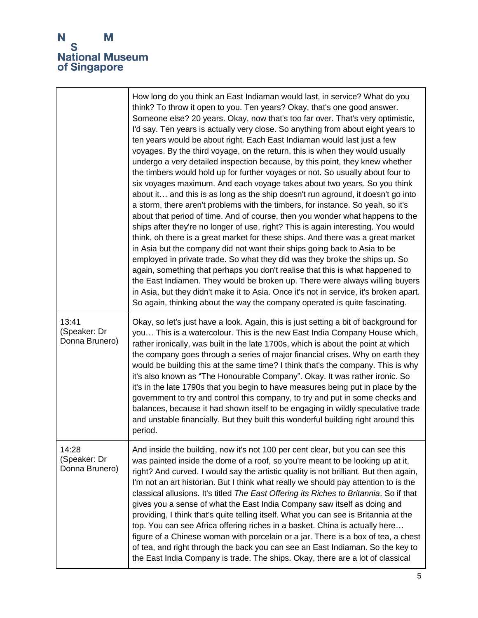|                                         | How long do you think an East Indiaman would last, in service? What do you<br>think? To throw it open to you. Ten years? Okay, that's one good answer.<br>Someone else? 20 years. Okay, now that's too far over. That's very optimistic,<br>I'd say. Ten years is actually very close. So anything from about eight years to<br>ten years would be about right. Each East Indiaman would last just a few<br>voyages. By the third voyage, on the return, this is when they would usually<br>undergo a very detailed inspection because, by this point, they knew whether<br>the timbers would hold up for further voyages or not. So usually about four to<br>six voyages maximum. And each voyage takes about two years. So you think<br>about it and this is as long as the ship doesn't run aground, it doesn't go into<br>a storm, there aren't problems with the timbers, for instance. So yeah, so it's<br>about that period of time. And of course, then you wonder what happens to the<br>ships after they're no longer of use, right? This is again interesting. You would<br>think, oh there is a great market for these ships. And there was a great market<br>in Asia but the company did not want their ships going back to Asia to be<br>employed in private trade. So what they did was they broke the ships up. So<br>again, something that perhaps you don't realise that this is what happened to<br>the East Indiamen. They would be broken up. There were always willing buyers<br>in Asia, but they didn't make it to Asia. Once it's not in service, it's broken apart.<br>So again, thinking about the way the company operated is quite fascinating. |
|-----------------------------------------|------------------------------------------------------------------------------------------------------------------------------------------------------------------------------------------------------------------------------------------------------------------------------------------------------------------------------------------------------------------------------------------------------------------------------------------------------------------------------------------------------------------------------------------------------------------------------------------------------------------------------------------------------------------------------------------------------------------------------------------------------------------------------------------------------------------------------------------------------------------------------------------------------------------------------------------------------------------------------------------------------------------------------------------------------------------------------------------------------------------------------------------------------------------------------------------------------------------------------------------------------------------------------------------------------------------------------------------------------------------------------------------------------------------------------------------------------------------------------------------------------------------------------------------------------------------------------------------------------------------------------------------------------------------------------|
| 13:41<br>(Speaker: Dr<br>Donna Brunero) | Okay, so let's just have a look. Again, this is just setting a bit of background for<br>you This is a watercolour. This is the new East India Company House which,<br>rather ironically, was built in the late 1700s, which is about the point at which<br>the company goes through a series of major financial crises. Why on earth they<br>would be building this at the same time? I think that's the company. This is why<br>it's also known as "The Honourable Company". Okay. It was rather ironic. So<br>it's in the late 1790s that you begin to have measures being put in place by the<br>government to try and control this company, to try and put in some checks and<br>balances, because it had shown itself to be engaging in wildly speculative trade<br>and unstable financially. But they built this wonderful building right around this<br>period.                                                                                                                                                                                                                                                                                                                                                                                                                                                                                                                                                                                                                                                                                                                                                                                                       |
| 14:28<br>(Speaker: Dr<br>Donna Brunero) | And inside the building, now it's not 100 per cent clear, but you can see this<br>was painted inside the dome of a roof, so you're meant to be looking up at it,<br>right? And curved. I would say the artistic quality is not brilliant. But then again,<br>I'm not an art historian. But I think what really we should pay attention to is the<br>classical allusions. It's titled The East Offering its Riches to Britannia. So if that<br>gives you a sense of what the East India Company saw itself as doing and<br>providing, I think that's quite telling itself. What you can see is Britannia at the<br>top. You can see Africa offering riches in a basket. China is actually here<br>figure of a Chinese woman with porcelain or a jar. There is a box of tea, a chest<br>of tea, and right through the back you can see an East Indiaman. So the key to<br>the East India Company is trade. The ships. Okay, there are a lot of classical                                                                                                                                                                                                                                                                                                                                                                                                                                                                                                                                                                                                                                                                                                                       |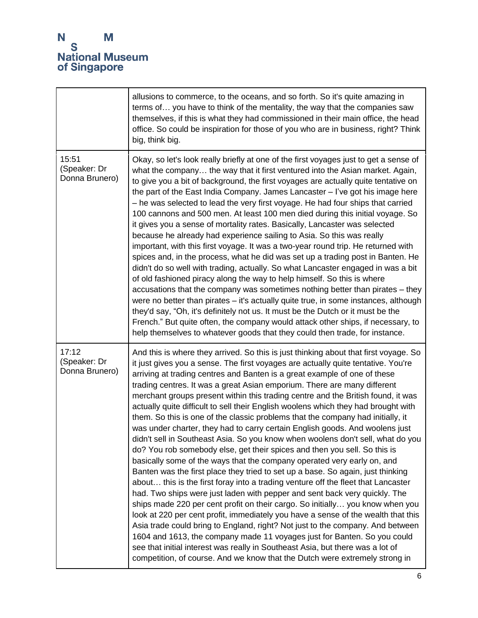|                                         | allusions to commerce, to the oceans, and so forth. So it's quite amazing in<br>terms of you have to think of the mentality, the way that the companies saw<br>themselves, if this is what they had commissioned in their main office, the head<br>office. So could be inspiration for those of you who are in business, right? Think<br>big, think big.                                                                                                                                                                                                                                                                                                                                                                                                                                                                                                                                                                                                                                                                                                                                                                                                                                                                                                                                                                                                                                                                                                                                                                                                                                                                                                                              |
|-----------------------------------------|---------------------------------------------------------------------------------------------------------------------------------------------------------------------------------------------------------------------------------------------------------------------------------------------------------------------------------------------------------------------------------------------------------------------------------------------------------------------------------------------------------------------------------------------------------------------------------------------------------------------------------------------------------------------------------------------------------------------------------------------------------------------------------------------------------------------------------------------------------------------------------------------------------------------------------------------------------------------------------------------------------------------------------------------------------------------------------------------------------------------------------------------------------------------------------------------------------------------------------------------------------------------------------------------------------------------------------------------------------------------------------------------------------------------------------------------------------------------------------------------------------------------------------------------------------------------------------------------------------------------------------------------------------------------------------------|
| 15:51<br>(Speaker: Dr<br>Donna Brunero) | Okay, so let's look really briefly at one of the first voyages just to get a sense of<br>what the company the way that it first ventured into the Asian market. Again,<br>to give you a bit of background, the first voyages are actually quite tentative on<br>the part of the East India Company. James Lancaster – I've got his image here<br>- he was selected to lead the very first voyage. He had four ships that carried<br>100 cannons and 500 men. At least 100 men died during this initial voyage. So<br>it gives you a sense of mortality rates. Basically, Lancaster was selected<br>because he already had experience sailing to Asia. So this was really<br>important, with this first voyage. It was a two-year round trip. He returned with<br>spices and, in the process, what he did was set up a trading post in Banten. He<br>didn't do so well with trading, actually. So what Lancaster engaged in was a bit<br>of old fashioned piracy along the way to help himself. So this is where<br>accusations that the company was sometimes nothing better than pirates – they<br>were no better than pirates - it's actually quite true, in some instances, although<br>they'd say, "Oh, it's definitely not us. It must be the Dutch or it must be the<br>French." But quite often, the company would attack other ships, if necessary, to<br>help themselves to whatever goods that they could then trade, for instance.                                                                                                                                                                                                                                         |
| 17:12<br>(Speaker: Dr<br>Donna Brunero) | And this is where they arrived. So this is just thinking about that first voyage. So<br>it just gives you a sense. The first voyages are actually quite tentative. You're<br>arriving at trading centres and Banten is a great example of one of these<br>trading centres. It was a great Asian emporium. There are many different<br>merchant groups present within this trading centre and the British found, it was<br>actually quite difficult to sell their English woolens which they had brought with<br>them. So this is one of the classic problems that the company had initially, it<br>was under charter, they had to carry certain English goods. And woolens just<br>didn't sell in Southeast Asia. So you know when woolens don't sell, what do you<br>do? You rob somebody else, get their spices and then you sell. So this is<br>basically some of the ways that the company operated very early on, and<br>Banten was the first place they tried to set up a base. So again, just thinking<br>about this is the first foray into a trading venture off the fleet that Lancaster<br>had. Two ships were just laden with pepper and sent back very quickly. The<br>ships made 220 per cent profit on their cargo. So initially you know when you<br>look at 220 per cent profit, immediately you have a sense of the wealth that this<br>Asia trade could bring to England, right? Not just to the company. And between<br>1604 and 1613, the company made 11 voyages just for Banten. So you could<br>see that initial interest was really in Southeast Asia, but there was a lot of<br>competition, of course. And we know that the Dutch were extremely strong in |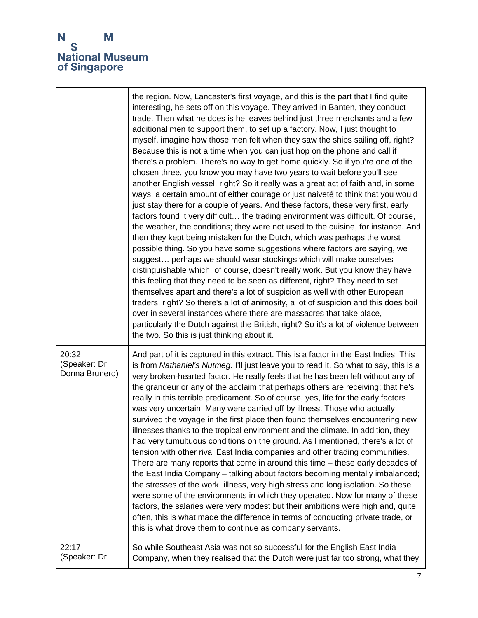|                                         | the region. Now, Lancaster's first voyage, and this is the part that I find quite<br>interesting, he sets off on this voyage. They arrived in Banten, they conduct<br>trade. Then what he does is he leaves behind just three merchants and a few<br>additional men to support them, to set up a factory. Now, I just thought to<br>myself, imagine how those men felt when they saw the ships sailing off, right?<br>Because this is not a time when you can just hop on the phone and call if<br>there's a problem. There's no way to get home quickly. So if you're one of the<br>chosen three, you know you may have two years to wait before you'll see<br>another English vessel, right? So it really was a great act of faith and, in some<br>ways, a certain amount of either courage or just naiveté to think that you would<br>just stay there for a couple of years. And these factors, these very first, early<br>factors found it very difficult the trading environment was difficult. Of course,<br>the weather, the conditions; they were not used to the cuisine, for instance. And<br>then they kept being mistaken for the Dutch, which was perhaps the worst<br>possible thing. So you have some suggestions where factors are saying, we<br>suggest perhaps we should wear stockings which will make ourselves<br>distinguishable which, of course, doesn't really work. But you know they have<br>this feeling that they need to be seen as different, right? They need to set<br>themselves apart and there's a lot of suspicion as well with other European<br>traders, right? So there's a lot of animosity, a lot of suspicion and this does boil<br>over in several instances where there are massacres that take place,<br>particularly the Dutch against the British, right? So it's a lot of violence between<br>the two. So this is just thinking about it. |
|-----------------------------------------|--------------------------------------------------------------------------------------------------------------------------------------------------------------------------------------------------------------------------------------------------------------------------------------------------------------------------------------------------------------------------------------------------------------------------------------------------------------------------------------------------------------------------------------------------------------------------------------------------------------------------------------------------------------------------------------------------------------------------------------------------------------------------------------------------------------------------------------------------------------------------------------------------------------------------------------------------------------------------------------------------------------------------------------------------------------------------------------------------------------------------------------------------------------------------------------------------------------------------------------------------------------------------------------------------------------------------------------------------------------------------------------------------------------------------------------------------------------------------------------------------------------------------------------------------------------------------------------------------------------------------------------------------------------------------------------------------------------------------------------------------------------------------------------------------------------------------------------------------------------------------------------------|
| 20:32<br>(Speaker: Dr<br>Donna Brunero) | And part of it is captured in this extract. This is a factor in the East Indies. This<br>is from Nathaniel's Nutmeg. I'll just leave you to read it. So what to say, this is a<br>very broken-hearted factor. He really feels that he has been left without any of<br>the grandeur or any of the acclaim that perhaps others are receiving; that he's<br>really in this terrible predicament. So of course, yes, life for the early factors<br>was very uncertain. Many were carried off by illness. Those who actually<br>survived the voyage in the first place then found themselves encountering new<br>illnesses thanks to the tropical environment and the climate. In addition, they<br>had very tumultuous conditions on the ground. As I mentioned, there's a lot of<br>tension with other rival East India companies and other trading communities.<br>There are many reports that come in around this time - these early decades of<br>the East India Company - talking about factors becoming mentally imbalanced;<br>the stresses of the work, illness, very high stress and long isolation. So these<br>were some of the environments in which they operated. Now for many of these<br>factors, the salaries were very modest but their ambitions were high and, quite<br>often, this is what made the difference in terms of conducting private trade, or<br>this is what drove them to continue as company servants.                                                                                                                                                                                                                                                                                                                                                                                                                                                       |
| 22:17<br>(Speaker: Dr                   | So while Southeast Asia was not so successful for the English East India<br>Company, when they realised that the Dutch were just far too strong, what they                                                                                                                                                                                                                                                                                                                                                                                                                                                                                                                                                                                                                                                                                                                                                                                                                                                                                                                                                                                                                                                                                                                                                                                                                                                                                                                                                                                                                                                                                                                                                                                                                                                                                                                                 |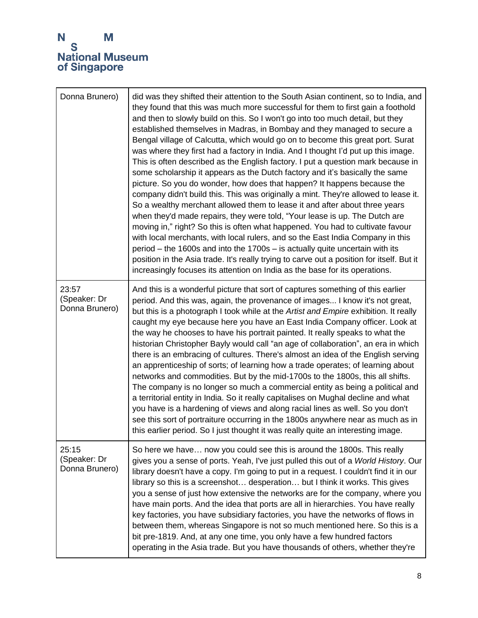| Donna Brunero)                          | did was they shifted their attention to the South Asian continent, so to India, and<br>they found that this was much more successful for them to first gain a foothold<br>and then to slowly build on this. So I won't go into too much detail, but they<br>established themselves in Madras, in Bombay and they managed to secure a<br>Bengal village of Calcutta, which would go on to become this great port. Surat<br>was where they first had a factory in India. And I thought I'd put up this image.<br>This is often described as the English factory. I put a question mark because in<br>some scholarship it appears as the Dutch factory and it's basically the same<br>picture. So you do wonder, how does that happen? It happens because the<br>company didn't build this. This was originally a mint. They're allowed to lease it.<br>So a wealthy merchant allowed them to lease it and after about three years<br>when they'd made repairs, they were told, "Your lease is up. The Dutch are<br>moving in," right? So this is often what happened. You had to cultivate favour<br>with local merchants, with local rulers, and so the East India Company in this<br>period – the 1600s and into the 1700s – is actually quite uncertain with its<br>position in the Asia trade. It's really trying to carve out a position for itself. But it<br>increasingly focuses its attention on India as the base for its operations. |
|-----------------------------------------|-----------------------------------------------------------------------------------------------------------------------------------------------------------------------------------------------------------------------------------------------------------------------------------------------------------------------------------------------------------------------------------------------------------------------------------------------------------------------------------------------------------------------------------------------------------------------------------------------------------------------------------------------------------------------------------------------------------------------------------------------------------------------------------------------------------------------------------------------------------------------------------------------------------------------------------------------------------------------------------------------------------------------------------------------------------------------------------------------------------------------------------------------------------------------------------------------------------------------------------------------------------------------------------------------------------------------------------------------------------------------------------------------------------------------------------------------|
| 23:57<br>(Speaker: Dr<br>Donna Brunero) | And this is a wonderful picture that sort of captures something of this earlier<br>period. And this was, again, the provenance of images I know it's not great,<br>but this is a photograph I took while at the Artist and Empire exhibition. It really<br>caught my eye because here you have an East India Company officer. Look at<br>the way he chooses to have his portrait painted. It really speaks to what the<br>historian Christopher Bayly would call "an age of collaboration", an era in which<br>there is an embracing of cultures. There's almost an idea of the English serving<br>an apprenticeship of sorts; of learning how a trade operates; of learning about<br>networks and commodities. But by the mid-1700s to the 1800s, this all shifts.<br>The company is no longer so much a commercial entity as being a political and<br>a territorial entity in India. So it really capitalises on Mughal decline and what<br>you have is a hardening of views and along racial lines as well. So you don't<br>see this sort of portraiture occurring in the 1800s anywhere near as much as in<br>this earlier period. So I just thought it was really quite an interesting image.                                                                                                                                                                                                                                            |
| 25:15<br>(Speaker: Dr<br>Donna Brunero) | So here we have now you could see this is around the 1800s. This really<br>gives you a sense of ports. Yeah, I've just pulled this out of a World History. Our<br>library doesn't have a copy. I'm going to put in a request. I couldn't find it in our<br>library so this is a screenshot desperation but I think it works. This gives<br>you a sense of just how extensive the networks are for the company, where you<br>have main ports. And the idea that ports are all in hierarchies. You have really<br>key factories, you have subsidiary factories, you have the networks of flows in<br>between them, whereas Singapore is not so much mentioned here. So this is a<br>bit pre-1819. And, at any one time, you only have a few hundred factors<br>operating in the Asia trade. But you have thousands of others, whether they're                                                                                                                                                                                                                                                                                                                                                                                                                                                                                                                                                                                                   |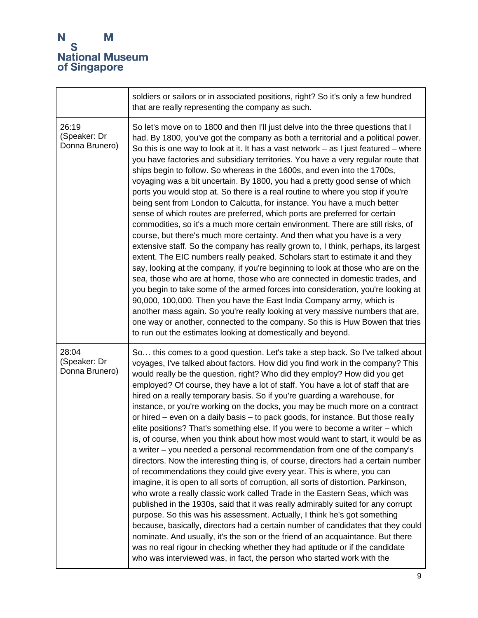|                                         | soldiers or sailors or in associated positions, right? So it's only a few hundred<br>that are really representing the company as such.                                                                                                                                                                                                                                                                                                                                                                                                                                                                                                                                                                                                                                                                                                                                                                                                                                                                                                                                                                                                                                                                                                                                                                                                                                                                                                                                                                                                                                                                                                                                      |
|-----------------------------------------|-----------------------------------------------------------------------------------------------------------------------------------------------------------------------------------------------------------------------------------------------------------------------------------------------------------------------------------------------------------------------------------------------------------------------------------------------------------------------------------------------------------------------------------------------------------------------------------------------------------------------------------------------------------------------------------------------------------------------------------------------------------------------------------------------------------------------------------------------------------------------------------------------------------------------------------------------------------------------------------------------------------------------------------------------------------------------------------------------------------------------------------------------------------------------------------------------------------------------------------------------------------------------------------------------------------------------------------------------------------------------------------------------------------------------------------------------------------------------------------------------------------------------------------------------------------------------------------------------------------------------------------------------------------------------------|
| 26:19<br>(Speaker: Dr<br>Donna Brunero) | So let's move on to 1800 and then I'll just delve into the three questions that I<br>had. By 1800, you've got the company as both a territorial and a political power.<br>So this is one way to look at it. It has a vast network $-$ as I just featured $-$ where<br>you have factories and subsidiary territories. You have a very regular route that<br>ships begin to follow. So whereas in the 1600s, and even into the 1700s,<br>voyaging was a bit uncertain. By 1800, you had a pretty good sense of which<br>ports you would stop at. So there is a real routine to where you stop if you're<br>being sent from London to Calcutta, for instance. You have a much better<br>sense of which routes are preferred, which ports are preferred for certain<br>commodities, so it's a much more certain environment. There are still risks, of<br>course, but there's much more certainty. And then what you have is a very<br>extensive staff. So the company has really grown to, I think, perhaps, its largest<br>extent. The EIC numbers really peaked. Scholars start to estimate it and they<br>say, looking at the company, if you're beginning to look at those who are on the<br>sea, those who are at home, those who are connected in domestic trades, and<br>you begin to take some of the armed forces into consideration, you're looking at<br>90,000, 100,000. Then you have the East India Company army, which is<br>another mass again. So you're really looking at very massive numbers that are,<br>one way or another, connected to the company. So this is Huw Bowen that tries<br>to run out the estimates looking at domestically and beyond.    |
| 28:04<br>(Speaker: Dr<br>Donna Brunero) | So this comes to a good question. Let's take a step back. So I've talked about<br>voyages, I've talked about factors. How did you find work in the company? This<br>would really be the question, right? Who did they employ? How did you get<br>employed? Of course, they have a lot of staff. You have a lot of staff that are<br>hired on a really temporary basis. So if you're guarding a warehouse, for<br>instance, or you're working on the docks, you may be much more on a contract<br>or hired - even on a daily basis - to pack goods, for instance. But those really<br>elite positions? That's something else. If you were to become a writer - which<br>is, of course, when you think about how most would want to start, it would be as<br>a writer – you needed a personal recommendation from one of the company's<br>directors. Now the interesting thing is, of course, directors had a certain number<br>of recommendations they could give every year. This is where, you can<br>imagine, it is open to all sorts of corruption, all sorts of distortion. Parkinson,<br>who wrote a really classic work called Trade in the Eastern Seas, which was<br>published in the 1930s, said that it was really admirably suited for any corrupt<br>purpose. So this was his assessment. Actually, I think he's got something<br>because, basically, directors had a certain number of candidates that they could<br>nominate. And usually, it's the son or the friend of an acquaintance. But there<br>was no real rigour in checking whether they had aptitude or if the candidate<br>who was interviewed was, in fact, the person who started work with the |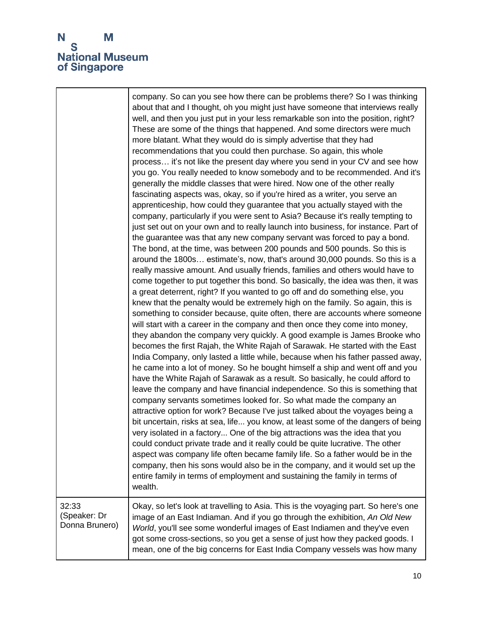### M N **National Museum** of Singapore

company. So can you see how there can be problems there? So I was thinking about that and I thought, oh you might just have someone that interviews really well, and then you just put in your less remarkable son into the position, right? These are some of the things that happened. And some directors were much more blatant. What they would do is simply advertise that they had recommendations that you could then purchase. So again, this whole process… it's not like the present day where you send in your CV and see how you go. You really needed to know somebody and to be recommended. And it's generally the middle classes that were hired. Now one of the other really fascinating aspects was, okay, so if you're hired as a writer, you serve an apprenticeship, how could they guarantee that you actually stayed with the company, particularly if you were sent to Asia? Because it's really tempting to just set out on your own and to really launch into business, for instance. Part of the guarantee was that any new company servant was forced to pay a bond. The bond, at the time, was between 200 pounds and 500 pounds. So this is around the 1800s… estimate's, now, that's around 30,000 pounds. So this is a really massive amount. And usually friends, families and others would have to come together to put together this bond. So basically, the idea was then, it was a great deterrent, right? If you wanted to go off and do something else, you knew that the penalty would be extremely high on the family. So again, this is something to consider because, quite often, there are accounts where someone will start with a career in the company and then once they come into money, they abandon the company very quickly. A good example is James Brooke who becomes the first Rajah, the White Rajah of Sarawak. He started with the East India Company, only lasted a little while, because when his father passed away, he came into a lot of money. So he bought himself a ship and went off and you have the White Rajah of Sarawak as a result. So basically, he could afford to leave the company and have financial independence. So this is something that company servants sometimes looked for. So what made the company an attractive option for work? Because I've just talked about the voyages being a bit uncertain, risks at sea, life... you know, at least some of the dangers of being very isolated in a factory... One of the big attractions was the idea that you could conduct private trade and it really could be quite lucrative. The other aspect was company life often became family life. So a father would be in the company, then his sons would also be in the company, and it would set up the entire family in terms of employment and sustaining the family in terms of wealth. 32:33 (Speaker: Dr Donna Brunero) Okay, so let's look at travelling to Asia. This is the voyaging part. So here's one image of an East Indiaman. And if you go through the exhibition, *An Old New World*, you'll see some wonderful images of East Indiamen and they've even got some cross-sections, so you get a sense of just how they packed goods. I mean, one of the big concerns for East India Company vessels was how many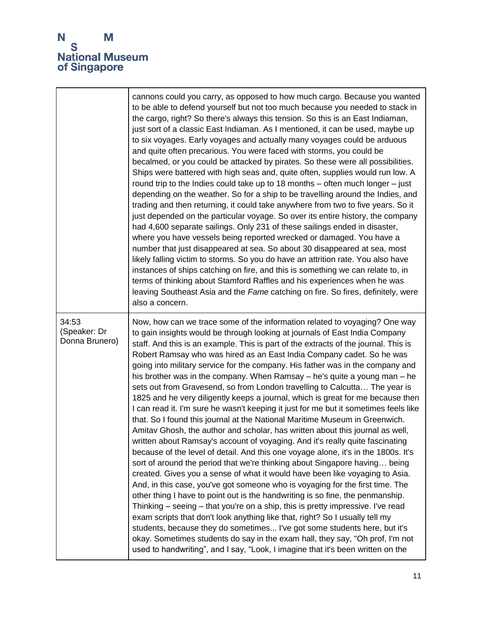|                                         | cannons could you carry, as opposed to how much cargo. Because you wanted<br>to be able to defend yourself but not too much because you needed to stack in<br>the cargo, right? So there's always this tension. So this is an East Indiaman,<br>just sort of a classic East Indiaman. As I mentioned, it can be used, maybe up<br>to six voyages. Early voyages and actually many voyages could be arduous<br>and quite often precarious. You were faced with storms, you could be<br>becalmed, or you could be attacked by pirates. So these were all possibilities.<br>Ships were battered with high seas and, quite often, supplies would run low. A<br>round trip to the Indies could take up to 18 months $-$ often much longer $-$ just<br>depending on the weather. So for a ship to be travelling around the Indies, and<br>trading and then returning, it could take anywhere from two to five years. So it<br>just depended on the particular voyage. So over its entire history, the company<br>had 4,600 separate sailings. Only 231 of these sailings ended in disaster,<br>where you have vessels being reported wrecked or damaged. You have a<br>number that just disappeared at sea. So about 30 disappeared at sea, most<br>likely falling victim to storms. So you do have an attrition rate. You also have<br>instances of ships catching on fire, and this is something we can relate to, in<br>terms of thinking about Stamford Raffles and his experiences when he was<br>leaving Southeast Asia and the Fame catching on fire. So fires, definitely, were<br>also a concern.                                                                                                                                                                                                                                          |
|-----------------------------------------|-----------------------------------------------------------------------------------------------------------------------------------------------------------------------------------------------------------------------------------------------------------------------------------------------------------------------------------------------------------------------------------------------------------------------------------------------------------------------------------------------------------------------------------------------------------------------------------------------------------------------------------------------------------------------------------------------------------------------------------------------------------------------------------------------------------------------------------------------------------------------------------------------------------------------------------------------------------------------------------------------------------------------------------------------------------------------------------------------------------------------------------------------------------------------------------------------------------------------------------------------------------------------------------------------------------------------------------------------------------------------------------------------------------------------------------------------------------------------------------------------------------------------------------------------------------------------------------------------------------------------------------------------------------------------------------------------------------------------------------------------------------------------------------------------------------------------------------------------|
| 34:53<br>(Speaker: Dr<br>Donna Brunero) | Now, how can we trace some of the information related to voyaging? One way<br>to gain insights would be through looking at journals of East India Company<br>staff. And this is an example. This is part of the extracts of the journal. This is<br>Robert Ramsay who was hired as an East India Company cadet. So he was<br>going into military service for the company. His father was in the company and<br>his brother was in the company. When Ramsay – he's quite a young man – he<br>sets out from Gravesend, so from London travelling to Calcutta The year is<br>1825 and he very diligently keeps a journal, which is great for me because then<br>I can read it. I'm sure he wasn't keeping it just for me but it sometimes feels like<br>that. So I found this journal at the National Maritime Museum in Greenwich.<br>Amitav Ghosh, the author and scholar, has written about this journal as well,<br>written about Ramsay's account of voyaging. And it's really quite fascinating<br>because of the level of detail. And this one voyage alone, it's in the 1800s. It's<br>sort of around the period that we're thinking about Singapore having being<br>created. Gives you a sense of what it would have been like voyaging to Asia.<br>And, in this case, you've got someone who is voyaging for the first time. The<br>other thing I have to point out is the handwriting is so fine, the penmanship.<br>Thinking - seeing - that you're on a ship, this is pretty impressive. I've read<br>exam scripts that don't look anything like that, right? So I usually tell my<br>students, because they do sometimes I've got some students here, but it's<br>okay. Sometimes students do say in the exam hall, they say, "Oh prof, I'm not<br>used to handwriting", and I say, "Look, I imagine that it's been written on the |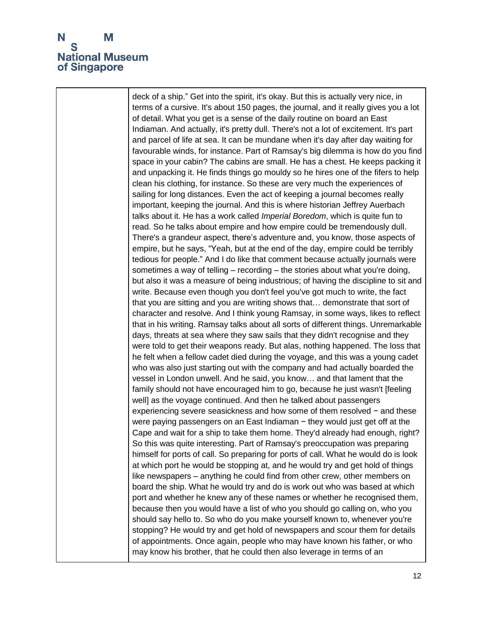### N M **National Museum** of Singapore

deck of a ship." Get into the spirit, it's okay. But this is actually very nice, in terms of a cursive. It's about 150 pages, the journal, and it really gives you a lot of detail. What you get is a sense of the daily routine on board an East Indiaman. And actually, it's pretty dull. There's not a lot of excitement. It's part and parcel of life at sea. It can be mundane when it's day after day waiting for favourable winds, for instance. Part of Ramsay's big dilemma is how do you find space in your cabin? The cabins are small. He has a chest. He keeps packing it and unpacking it. He finds things go mouldy so he hires one of the fifers to help clean his clothing, for instance. So these are very much the experiences of sailing for long distances. Even the act of keeping a journal becomes really important, keeping the journal. And this is where historian Jeffrey Auerbach talks about it. He has a work called *Imperial Boredom*, which is quite fun to read. So he talks about empire and how empire could be tremendously dull. There's a grandeur aspect, there's adventure and, you know, those aspects of empire, but he says, "Yeah, but at the end of the day, empire could be terribly tedious for people." And I do like that comment because actually journals were sometimes a way of telling – recording – the stories about what you're doing, but also it was a measure of being industrious; of having the discipline to sit and write. Because even though you don't feel you've got much to write, the fact that you are sitting and you are writing shows that… demonstrate that sort of character and resolve. And I think young Ramsay, in some ways, likes to reflect that in his writing. Ramsay talks about all sorts of different things. Unremarkable days, threats at sea where they saw sails that they didn't recognise and they were told to get their weapons ready. But alas, nothing happened. The loss that he felt when a fellow cadet died during the voyage, and this was a young cadet who was also just starting out with the company and had actually boarded the vessel in London unwell. And he said, you know… and that lament that the family should not have encouraged him to go, because he just wasn't [feeling well] as the voyage continued. And then he talked about passengers experiencing severe seasickness and how some of them resolved − and these were paying passengers on an East Indiaman − they would just get off at the Cape and wait for a ship to take them home. They'd already had enough, right? So this was quite interesting. Part of Ramsay's preoccupation was preparing himself for ports of call. So preparing for ports of call. What he would do is look at which port he would be stopping at, and he would try and get hold of things like newspapers – anything he could find from other crew, other members on board the ship. What he would try and do is work out who was based at which port and whether he knew any of these names or whether he recognised them, because then you would have a list of who you should go calling on, who you should say hello to. So who do you make yourself known to, whenever you're stopping? He would try and get hold of newspapers and scour them for details of appointments. Once again, people who may have known his father, or who may know his brother, that he could then also leverage in terms of an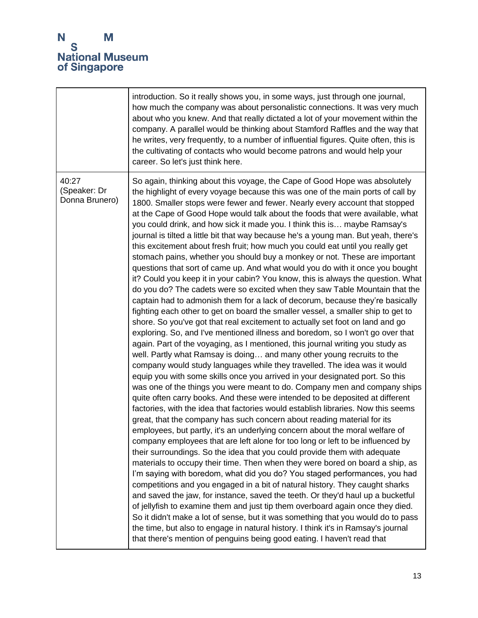|                                         | introduction. So it really shows you, in some ways, just through one journal,<br>how much the company was about personalistic connections. It was very much<br>about who you knew. And that really dictated a lot of your movement within the<br>company. A parallel would be thinking about Stamford Raffles and the way that<br>he writes, very frequently, to a number of influential figures. Quite often, this is<br>the cultivating of contacts who would become patrons and would help your<br>career. So let's just think here.                                                                                                                                                                                                                                                                                                                                                                                                                                                                                                                                                                                                                                                                                                                                                                                                                                                                                                                                                                                                                                                                                                                                                                                                                                                                                                                                                                                                                                                                                                                                                                                                                                                                                                                                                                                                                                                                                                                                                                                                                                                                                                                                                                                                                                                                                                     |
|-----------------------------------------|---------------------------------------------------------------------------------------------------------------------------------------------------------------------------------------------------------------------------------------------------------------------------------------------------------------------------------------------------------------------------------------------------------------------------------------------------------------------------------------------------------------------------------------------------------------------------------------------------------------------------------------------------------------------------------------------------------------------------------------------------------------------------------------------------------------------------------------------------------------------------------------------------------------------------------------------------------------------------------------------------------------------------------------------------------------------------------------------------------------------------------------------------------------------------------------------------------------------------------------------------------------------------------------------------------------------------------------------------------------------------------------------------------------------------------------------------------------------------------------------------------------------------------------------------------------------------------------------------------------------------------------------------------------------------------------------------------------------------------------------------------------------------------------------------------------------------------------------------------------------------------------------------------------------------------------------------------------------------------------------------------------------------------------------------------------------------------------------------------------------------------------------------------------------------------------------------------------------------------------------------------------------------------------------------------------------------------------------------------------------------------------------------------------------------------------------------------------------------------------------------------------------------------------------------------------------------------------------------------------------------------------------------------------------------------------------------------------------------------------------------------------------------------------------------------------------------------------------|
| 40:27<br>(Speaker: Dr<br>Donna Brunero) | So again, thinking about this voyage, the Cape of Good Hope was absolutely<br>the highlight of every voyage because this was one of the main ports of call by<br>1800. Smaller stops were fewer and fewer. Nearly every account that stopped<br>at the Cape of Good Hope would talk about the foods that were available, what<br>you could drink, and how sick it made you. I think this is maybe Ramsay's<br>journal is tilted a little bit that way because he's a young man. But yeah, there's<br>this excitement about fresh fruit; how much you could eat until you really get<br>stomach pains, whether you should buy a monkey or not. These are important<br>questions that sort of came up. And what would you do with it once you bought<br>it? Could you keep it in your cabin? You know, this is always the question. What<br>do you do? The cadets were so excited when they saw Table Mountain that the<br>captain had to admonish them for a lack of decorum, because they're basically<br>fighting each other to get on board the smaller vessel, a smaller ship to get to<br>shore. So you've got that real excitement to actually set foot on land and go<br>exploring. So, and I've mentioned illness and boredom, so I won't go over that<br>again. Part of the voyaging, as I mentioned, this journal writing you study as<br>well. Partly what Ramsay is doing and many other young recruits to the<br>company would study languages while they travelled. The idea was it would<br>equip you with some skills once you arrived in your designated port. So this<br>was one of the things you were meant to do. Company men and company ships<br>quite often carry books. And these were intended to be deposited at different<br>factories, with the idea that factories would establish libraries. Now this seems<br>great, that the company has such concern about reading material for its<br>employees, but partly, it's an underlying concern about the moral welfare of<br>company employees that are left alone for too long or left to be influenced by<br>their surroundings. So the idea that you could provide them with adequate<br>materials to occupy their time. Then when they were bored on board a ship, as<br>I'm saying with boredom, what did you do? You staged performances, you had<br>competitions and you engaged in a bit of natural history. They caught sharks<br>and saved the jaw, for instance, saved the teeth. Or they'd haul up a bucketful<br>of jellyfish to examine them and just tip them overboard again once they died.<br>So it didn't make a lot of sense, but it was something that you would do to pass<br>the time, but also to engage in natural history. I think it's in Ramsay's journal<br>that there's mention of penguins being good eating. I haven't read that |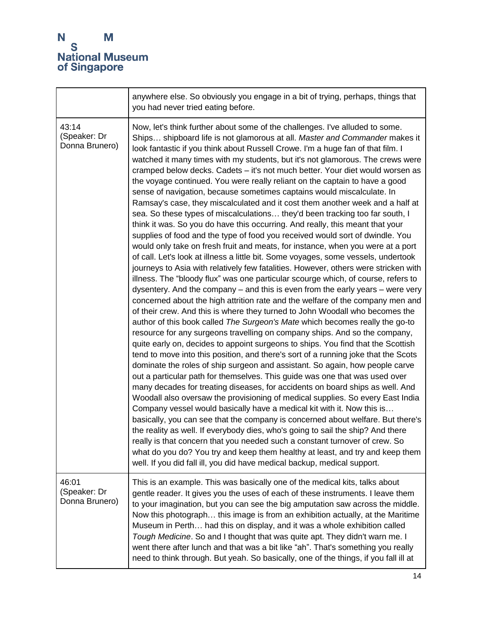|                                         | anywhere else. So obviously you engage in a bit of trying, perhaps, things that<br>you had never tried eating before.                                                                                                                                                                                                                                                                                                                                                                                                                                                                                                                                                                                                                                                                                                                                                                                                                                                                                                                                                                                                                                                                                                                                                                                                                                                                                                                                                                                                                                                                                                                                                                                                                                                                                                                                                                                                                                                                                                                                                                                                                                                                                                                                                                                                                                                                                                                                                                                                                                                                                                                                                                        |
|-----------------------------------------|----------------------------------------------------------------------------------------------------------------------------------------------------------------------------------------------------------------------------------------------------------------------------------------------------------------------------------------------------------------------------------------------------------------------------------------------------------------------------------------------------------------------------------------------------------------------------------------------------------------------------------------------------------------------------------------------------------------------------------------------------------------------------------------------------------------------------------------------------------------------------------------------------------------------------------------------------------------------------------------------------------------------------------------------------------------------------------------------------------------------------------------------------------------------------------------------------------------------------------------------------------------------------------------------------------------------------------------------------------------------------------------------------------------------------------------------------------------------------------------------------------------------------------------------------------------------------------------------------------------------------------------------------------------------------------------------------------------------------------------------------------------------------------------------------------------------------------------------------------------------------------------------------------------------------------------------------------------------------------------------------------------------------------------------------------------------------------------------------------------------------------------------------------------------------------------------------------------------------------------------------------------------------------------------------------------------------------------------------------------------------------------------------------------------------------------------------------------------------------------------------------------------------------------------------------------------------------------------------------------------------------------------------------------------------------------------|
| 43:14<br>(Speaker: Dr<br>Donna Brunero) | Now, let's think further about some of the challenges. I've alluded to some.<br>Ships shipboard life is not glamorous at all. Master and Commander makes it<br>look fantastic if you think about Russell Crowe. I'm a huge fan of that film. I<br>watched it many times with my students, but it's not glamorous. The crews were<br>cramped below decks. Cadets - it's not much better. Your diet would worsen as<br>the voyage continued. You were really reliant on the captain to have a good<br>sense of navigation, because sometimes captains would miscalculate. In<br>Ramsay's case, they miscalculated and it cost them another week and a half at<br>sea. So these types of miscalculations they'd been tracking too far south, I<br>think it was. So you do have this occurring. And really, this meant that your<br>supplies of food and the type of food you received would sort of dwindle. You<br>would only take on fresh fruit and meats, for instance, when you were at a port<br>of call. Let's look at illness a little bit. Some voyages, some vessels, undertook<br>journeys to Asia with relatively few fatalities. However, others were stricken with<br>illness. The "bloody flux" was one particular scourge which, of course, refers to<br>dysentery. And the company – and this is even from the early years – were very<br>concerned about the high attrition rate and the welfare of the company men and<br>of their crew. And this is where they turned to John Woodall who becomes the<br>author of this book called The Surgeon's Mate which becomes really the go-to<br>resource for any surgeons travelling on company ships. And so the company,<br>quite early on, decides to appoint surgeons to ships. You find that the Scottish<br>tend to move into this position, and there's sort of a running joke that the Scots<br>dominate the roles of ship surgeon and assistant. So again, how people carve<br>out a particular path for themselves. This guide was one that was used over<br>many decades for treating diseases, for accidents on board ships as well. And<br>Woodall also oversaw the provisioning of medical supplies. So every East India<br>Company vessel would basically have a medical kit with it. Now this is<br>basically, you can see that the company is concerned about welfare. But there's<br>the reality as well. If everybody dies, who's going to sail the ship? And there<br>really is that concern that you needed such a constant turnover of crew. So<br>what do you do? You try and keep them healthy at least, and try and keep them<br>well. If you did fall ill, you did have medical backup, medical support. |
| 46:01<br>(Speaker: Dr<br>Donna Brunero) | This is an example. This was basically one of the medical kits, talks about<br>gentle reader. It gives you the uses of each of these instruments. I leave them<br>to your imagination, but you can see the big amputation saw across the middle.<br>Now this photograph this image is from an exhibition actually, at the Maritime<br>Museum in Perth had this on display, and it was a whole exhibition called<br>Tough Medicine. So and I thought that was quite apt. They didn't warn me. I<br>went there after lunch and that was a bit like "ah". That's something you really<br>need to think through. But yeah. So basically, one of the things, if you fall ill at                                                                                                                                                                                                                                                                                                                                                                                                                                                                                                                                                                                                                                                                                                                                                                                                                                                                                                                                                                                                                                                                                                                                                                                                                                                                                                                                                                                                                                                                                                                                                                                                                                                                                                                                                                                                                                                                                                                                                                                                                   |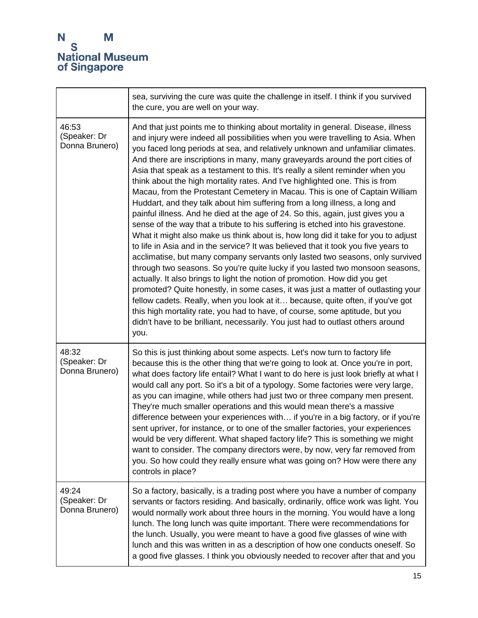|                                         | sea, surviving the cure was quite the challenge in itself. I think if you survived<br>the cure, you are well on your way.                                                                                                                                                                                                                                                                                                                                                                                                                                                                                                                                                                                                                                                                                                                                                                                                                                                                                                                                                                                                                                                                                                                                                                                                                                                                                                                                                                                                                                                                                                |
|-----------------------------------------|--------------------------------------------------------------------------------------------------------------------------------------------------------------------------------------------------------------------------------------------------------------------------------------------------------------------------------------------------------------------------------------------------------------------------------------------------------------------------------------------------------------------------------------------------------------------------------------------------------------------------------------------------------------------------------------------------------------------------------------------------------------------------------------------------------------------------------------------------------------------------------------------------------------------------------------------------------------------------------------------------------------------------------------------------------------------------------------------------------------------------------------------------------------------------------------------------------------------------------------------------------------------------------------------------------------------------------------------------------------------------------------------------------------------------------------------------------------------------------------------------------------------------------------------------------------------------------------------------------------------------|
| 46:53<br>(Speaker: Dr<br>Donna Brunero) | And that just points me to thinking about mortality in general. Disease, illness<br>and injury were indeed all possibilities when you were travelling to Asia. When<br>you faced long periods at sea, and relatively unknown and unfamiliar climates.<br>And there are inscriptions in many, many graveyards around the port cities of<br>Asia that speak as a testament to this. It's really a silent reminder when you<br>think about the high mortality rates. And I've highlighted one. This is from<br>Macau, from the Protestant Cemetery in Macau. This is one of Captain William<br>Huddart, and they talk about him suffering from a long illness, a long and<br>painful illness. And he died at the age of 24. So this, again, just gives you a<br>sense of the way that a tribute to his suffering is etched into his gravestone.<br>What it might also make us think about is, how long did it take for you to adjust<br>to life in Asia and in the service? It was believed that it took you five years to<br>acclimatise, but many company servants only lasted two seasons, only survived<br>through two seasons. So you're quite lucky if you lasted two monsoon seasons,<br>actually. It also brings to light the notion of promotion. How did you get<br>promoted? Quite honestly, in some cases, it was just a matter of outlasting your<br>fellow cadets. Really, when you look at it because, quite often, if you've got<br>this high mortality rate, you had to have, of course, some aptitude, but you<br>didn't have to be brilliant, necessarily. You just had to outlast others around<br>you. |
| 48:32<br>(Speaker: Dr<br>Donna Brunero) | So this is just thinking about some aspects. Let's now turn to factory life<br>because this is the other thing that we're going to look at. Once you're in port,<br>what does factory life entail? What I want to do here is just look briefly at what I<br>would call any port. So it's a bit of a typology. Some factories were very large,<br>as you can imagine, while others had just two or three company men present.<br>They're much smaller operations and this would mean there's a massive<br>difference between your experiences with if you're in a big factory, or if you're<br>sent upriver, for instance, or to one of the smaller factories, your experiences<br>would be very different. What shaped factory life? This is something we might<br>want to consider. The company directors were, by now, very far removed from<br>you. So how could they really ensure what was going on? How were there any<br>controls in place?                                                                                                                                                                                                                                                                                                                                                                                                                                                                                                                                                                                                                                                                       |
| 49:24<br>(Speaker: Dr<br>Donna Brunero) | So a factory, basically, is a trading post where you have a number of company<br>servants or factors residing. And basically, ordinarily, office work was light. You<br>would normally work about three hours in the morning. You would have a long<br>lunch. The long lunch was quite important. There were recommendations for<br>the lunch. Usually, you were meant to have a good five glasses of wine with<br>lunch and this was written in as a description of how one conducts oneself. So<br>a good five glasses. I think you obviously needed to recover after that and you                                                                                                                                                                                                                                                                                                                                                                                                                                                                                                                                                                                                                                                                                                                                                                                                                                                                                                                                                                                                                                     |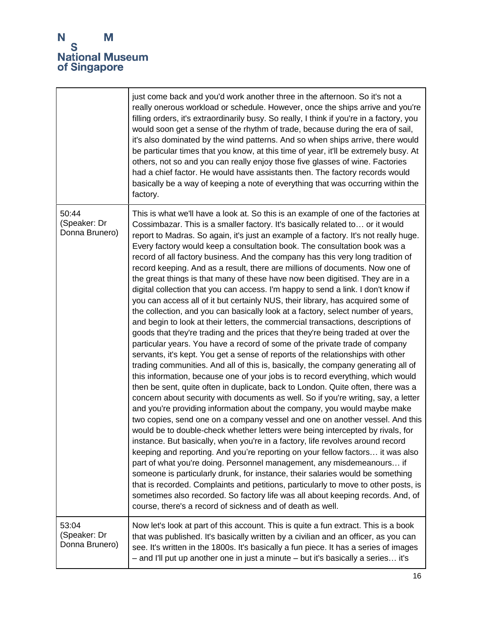|                                         | just come back and you'd work another three in the afternoon. So it's not a<br>really onerous workload or schedule. However, once the ships arrive and you're<br>filling orders, it's extraordinarily busy. So really, I think if you're in a factory, you<br>would soon get a sense of the rhythm of trade, because during the era of sail,<br>it's also dominated by the wind patterns. And so when ships arrive, there would<br>be particular times that you know, at this time of year, it'll be extremely busy. At<br>others, not so and you can really enjoy those five glasses of wine. Factories<br>had a chief factor. He would have assistants then. The factory records would<br>basically be a way of keeping a note of everything that was occurring within the<br>factory.                                                                                                                                                                                                                                                                                                                                                                                                                                                                                                                                                                                                                                                                                                                                                                                                                                                                                                                                                                                                                                                                                                                                                                                                                                                                                                                                                                                                                                                                                                                                                                                  |
|-----------------------------------------|---------------------------------------------------------------------------------------------------------------------------------------------------------------------------------------------------------------------------------------------------------------------------------------------------------------------------------------------------------------------------------------------------------------------------------------------------------------------------------------------------------------------------------------------------------------------------------------------------------------------------------------------------------------------------------------------------------------------------------------------------------------------------------------------------------------------------------------------------------------------------------------------------------------------------------------------------------------------------------------------------------------------------------------------------------------------------------------------------------------------------------------------------------------------------------------------------------------------------------------------------------------------------------------------------------------------------------------------------------------------------------------------------------------------------------------------------------------------------------------------------------------------------------------------------------------------------------------------------------------------------------------------------------------------------------------------------------------------------------------------------------------------------------------------------------------------------------------------------------------------------------------------------------------------------------------------------------------------------------------------------------------------------------------------------------------------------------------------------------------------------------------------------------------------------------------------------------------------------------------------------------------------------------------------------------------------------------------------------------------------------|
| 50:44<br>(Speaker: Dr<br>Donna Brunero) | This is what we'll have a look at. So this is an example of one of the factories at<br>Cossimbazar. This is a smaller factory. It's basically related to or it would<br>report to Madras. So again, it's just an example of a factory. It's not really huge.<br>Every factory would keep a consultation book. The consultation book was a<br>record of all factory business. And the company has this very long tradition of<br>record keeping. And as a result, there are millions of documents. Now one of<br>the great things is that many of these have now been digitised. They are in a<br>digital collection that you can access. I'm happy to send a link. I don't know if<br>you can access all of it but certainly NUS, their library, has acquired some of<br>the collection, and you can basically look at a factory, select number of years,<br>and begin to look at their letters, the commercial transactions, descriptions of<br>goods that they're trading and the prices that they're being traded at over the<br>particular years. You have a record of some of the private trade of company<br>servants, it's kept. You get a sense of reports of the relationships with other<br>trading communities. And all of this is, basically, the company generating all of<br>this information, because one of your jobs is to record everything, which would<br>then be sent, quite often in duplicate, back to London. Quite often, there was a<br>concern about security with documents as well. So if you're writing, say, a letter<br>and you're providing information about the company, you would maybe make<br>two copies, send one on a company vessel and one on another vessel. And this<br>would be to double-check whether letters were being intercepted by rivals, for<br>instance. But basically, when you're in a factory, life revolves around record<br>keeping and reporting. And you're reporting on your fellow factors it was also<br>part of what you're doing. Personnel management, any misdemeanours if<br>someone is particularly drunk, for instance, their salaries would be something<br>that is recorded. Complaints and petitions, particularly to move to other posts, is<br>sometimes also recorded. So factory life was all about keeping records. And, of<br>course, there's a record of sickness and of death as well. |
| 53:04<br>(Speaker: Dr<br>Donna Brunero) | Now let's look at part of this account. This is quite a fun extract. This is a book<br>that was published. It's basically written by a civilian and an officer, as you can<br>see. It's written in the 1800s. It's basically a fun piece. It has a series of images<br>- and I'll put up another one in just a minute - but it's basically a series it's                                                                                                                                                                                                                                                                                                                                                                                                                                                                                                                                                                                                                                                                                                                                                                                                                                                                                                                                                                                                                                                                                                                                                                                                                                                                                                                                                                                                                                                                                                                                                                                                                                                                                                                                                                                                                                                                                                                                                                                                                  |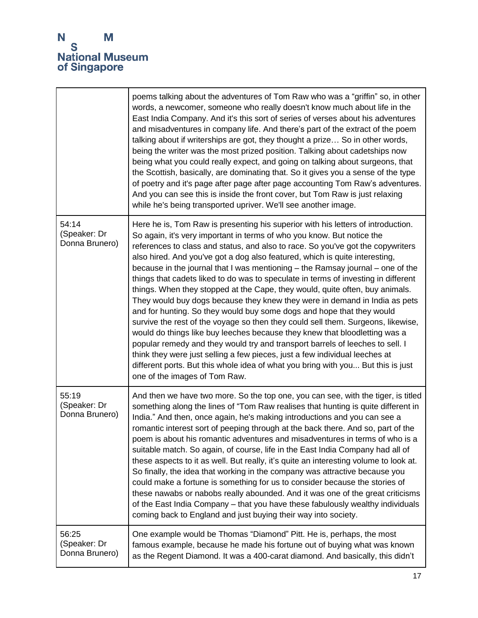|                                         | poems talking about the adventures of Tom Raw who was a "griffin" so, in other<br>words, a newcomer, someone who really doesn't know much about life in the<br>East India Company. And it's this sort of series of verses about his adventures<br>and misadventures in company life. And there's part of the extract of the poem<br>talking about if writerships are got, they thought a prize So in other words,<br>being the writer was the most prized position. Talking about cadetships now<br>being what you could really expect, and going on talking about surgeons, that<br>the Scottish, basically, are dominating that. So it gives you a sense of the type<br>of poetry and it's page after page after page accounting Tom Raw's adventures.<br>And you can see this is inside the front cover, but Tom Raw is just relaxing<br>while he's being transported upriver. We'll see another image.                                                                                                                                                                                                                                                                                             |
|-----------------------------------------|--------------------------------------------------------------------------------------------------------------------------------------------------------------------------------------------------------------------------------------------------------------------------------------------------------------------------------------------------------------------------------------------------------------------------------------------------------------------------------------------------------------------------------------------------------------------------------------------------------------------------------------------------------------------------------------------------------------------------------------------------------------------------------------------------------------------------------------------------------------------------------------------------------------------------------------------------------------------------------------------------------------------------------------------------------------------------------------------------------------------------------------------------------------------------------------------------------|
| 54:14<br>(Speaker: Dr<br>Donna Brunero) | Here he is, Tom Raw is presenting his superior with his letters of introduction.<br>So again, it's very important in terms of who you know. But notice the<br>references to class and status, and also to race. So you've got the copywriters<br>also hired. And you've got a dog also featured, which is quite interesting,<br>because in the journal that I was mentioning $-$ the Ramsay journal $-$ one of the<br>things that cadets liked to do was to speculate in terms of investing in different<br>things. When they stopped at the Cape, they would, quite often, buy animals.<br>They would buy dogs because they knew they were in demand in India as pets<br>and for hunting. So they would buy some dogs and hope that they would<br>survive the rest of the voyage so then they could sell them. Surgeons, likewise,<br>would do things like buy leeches because they knew that bloodletting was a<br>popular remedy and they would try and transport barrels of leeches to sell. I<br>think they were just selling a few pieces, just a few individual leeches at<br>different ports. But this whole idea of what you bring with you But this is just<br>one of the images of Tom Raw. |
| 55:19<br>(Speaker: Dr<br>Donna Brunero) | And then we have two more. So the top one, you can see, with the tiger, is titled<br>something along the lines of "Tom Raw realises that hunting is quite different in<br>India." And then, once again, he's making introductions and you can see a<br>romantic interest sort of peeping through at the back there. And so, part of the<br>poem is about his romantic adventures and misadventures in terms of who is a<br>suitable match. So again, of course, life in the East India Company had all of<br>these aspects to it as well. But really, it's quite an interesting volume to look at.<br>So finally, the idea that working in the company was attractive because you<br>could make a fortune is something for us to consider because the stories of<br>these nawabs or nabobs really abounded. And it was one of the great criticisms<br>of the East India Company - that you have these fabulously wealthy individuals<br>coming back to England and just buying their way into society.                                                                                                                                                                                                 |
| 56:25<br>(Speaker: Dr<br>Donna Brunero) | One example would be Thomas "Diamond" Pitt. He is, perhaps, the most<br>famous example, because he made his fortune out of buying what was known<br>as the Regent Diamond. It was a 400-carat diamond. And basically, this didn't                                                                                                                                                                                                                                                                                                                                                                                                                                                                                                                                                                                                                                                                                                                                                                                                                                                                                                                                                                      |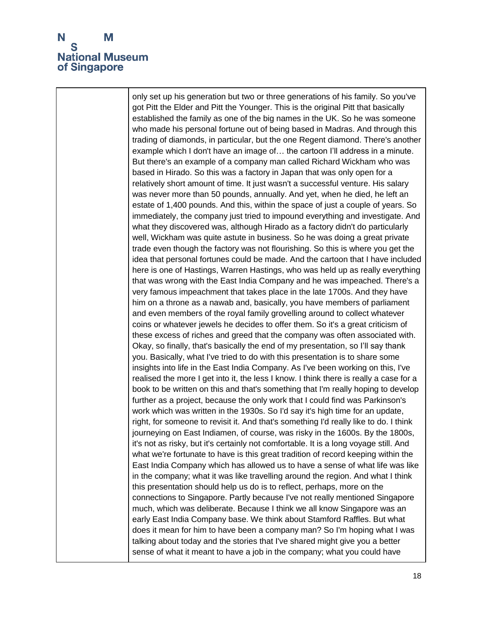### M N **National Museum** of Singapore

only set up his generation but two or three generations of his family. So you've got Pitt the Elder and Pitt the Younger. This is the original Pitt that basically established the family as one of the big names in the UK. So he was someone who made his personal fortune out of being based in Madras. And through this trading of diamonds, in particular, but the one Regent diamond. There's another example which I don't have an image of… the cartoon I'll address in a minute. But there's an example of a company man called Richard Wickham who was based in Hirado. So this was a factory in Japan that was only open for a relatively short amount of time. It just wasn't a successful venture. His salary was never more than 50 pounds, annually. And yet, when he died, he left an estate of 1,400 pounds. And this, within the space of just a couple of years. So immediately, the company just tried to impound everything and investigate. And what they discovered was, although Hirado as a factory didn't do particularly well, Wickham was quite astute in business. So he was doing a great private trade even though the factory was not flourishing. So this is where you get the idea that personal fortunes could be made. And the cartoon that I have included here is one of Hastings, Warren Hastings, who was held up as really everything that was wrong with the East India Company and he was impeached. There's a very famous impeachment that takes place in the late 1700s. And they have him on a throne as a nawab and, basically, you have members of parliament and even members of the royal family grovelling around to collect whatever coins or whatever jewels he decides to offer them. So it's a great criticism of these excess of riches and greed that the company was often associated with. Okay, so finally, that's basically the end of my presentation, so I'll say thank you. Basically, what I've tried to do with this presentation is to share some insights into life in the East India Company. As I've been working on this, I've realised the more I get into it, the less I know. I think there is really a case for a book to be written on this and that's something that I'm really hoping to develop further as a project, because the only work that I could find was Parkinson's work which was written in the 1930s. So I'd say it's high time for an update, right, for someone to revisit it. And that's something I'd really like to do. I think journeying on East Indiamen, of course, was risky in the 1600s. By the 1800s, it's not as risky, but it's certainly not comfortable. It is a long voyage still. And what we're fortunate to have is this great tradition of record keeping within the East India Company which has allowed us to have a sense of what life was like in the company; what it was like travelling around the region. And what I think this presentation should help us do is to reflect, perhaps, more on the connections to Singapore. Partly because I've not really mentioned Singapore much, which was deliberate. Because I think we all know Singapore was an early East India Company base. We think about Stamford Raffles. But what does it mean for him to have been a company man? So I'm hoping what I was talking about today and the stories that I've shared might give you a better sense of what it meant to have a job in the company; what you could have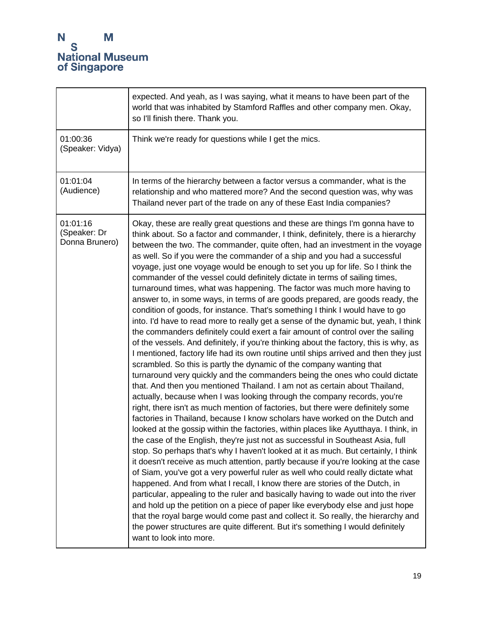|                                            | expected. And yeah, as I was saying, what it means to have been part of the<br>world that was inhabited by Stamford Raffles and other company men. Okay,<br>so I'll finish there. Thank you.                                                                                                                                                                                                                                                                                                                                                                                                                                                                                                                                                                                                                                                                                                                                                                                                                                                                                                                                                                                                                                                                                                                                                                                                                                                                                                                                                                                                                                                                                                                                                                                                                                                                                                                                                                                                                                                                                                                                                                                                                                                                                                                                                                                                                                                                                                    |
|--------------------------------------------|-------------------------------------------------------------------------------------------------------------------------------------------------------------------------------------------------------------------------------------------------------------------------------------------------------------------------------------------------------------------------------------------------------------------------------------------------------------------------------------------------------------------------------------------------------------------------------------------------------------------------------------------------------------------------------------------------------------------------------------------------------------------------------------------------------------------------------------------------------------------------------------------------------------------------------------------------------------------------------------------------------------------------------------------------------------------------------------------------------------------------------------------------------------------------------------------------------------------------------------------------------------------------------------------------------------------------------------------------------------------------------------------------------------------------------------------------------------------------------------------------------------------------------------------------------------------------------------------------------------------------------------------------------------------------------------------------------------------------------------------------------------------------------------------------------------------------------------------------------------------------------------------------------------------------------------------------------------------------------------------------------------------------------------------------------------------------------------------------------------------------------------------------------------------------------------------------------------------------------------------------------------------------------------------------------------------------------------------------------------------------------------------------------------------------------------------------------------------------------------------------|
| 01:00:36<br>(Speaker: Vidya)               | Think we're ready for questions while I get the mics.                                                                                                                                                                                                                                                                                                                                                                                                                                                                                                                                                                                                                                                                                                                                                                                                                                                                                                                                                                                                                                                                                                                                                                                                                                                                                                                                                                                                                                                                                                                                                                                                                                                                                                                                                                                                                                                                                                                                                                                                                                                                                                                                                                                                                                                                                                                                                                                                                                           |
| 01:01:04<br>(Audience)                     | In terms of the hierarchy between a factor versus a commander, what is the<br>relationship and who mattered more? And the second question was, why was<br>Thailand never part of the trade on any of these East India companies?                                                                                                                                                                                                                                                                                                                                                                                                                                                                                                                                                                                                                                                                                                                                                                                                                                                                                                                                                                                                                                                                                                                                                                                                                                                                                                                                                                                                                                                                                                                                                                                                                                                                                                                                                                                                                                                                                                                                                                                                                                                                                                                                                                                                                                                                |
| 01:01:16<br>(Speaker: Dr<br>Donna Brunero) | Okay, these are really great questions and these are things I'm gonna have to<br>think about. So a factor and commander, I think, definitely, there is a hierarchy<br>between the two. The commander, quite often, had an investment in the voyage<br>as well. So if you were the commander of a ship and you had a successful<br>voyage, just one voyage would be enough to set you up for life. So I think the<br>commander of the vessel could definitely dictate in terms of sailing times,<br>turnaround times, what was happening. The factor was much more having to<br>answer to, in some ways, in terms of are goods prepared, are goods ready, the<br>condition of goods, for instance. That's something I think I would have to go<br>into. I'd have to read more to really get a sense of the dynamic but, yeah, I think<br>the commanders definitely could exert a fair amount of control over the sailing<br>of the vessels. And definitely, if you're thinking about the factory, this is why, as<br>I mentioned, factory life had its own routine until ships arrived and then they just<br>scrambled. So this is partly the dynamic of the company wanting that<br>turnaround very quickly and the commanders being the ones who could dictate<br>that. And then you mentioned Thailand. I am not as certain about Thailand,<br>actually, because when I was looking through the company records, you're<br>right, there isn't as much mention of factories, but there were definitely some<br>factories in Thailand, because I know scholars have worked on the Dutch and<br>looked at the gossip within the factories, within places like Ayutthaya. I think, in<br>the case of the English, they're just not as successful in Southeast Asia, full<br>stop. So perhaps that's why I haven't looked at it as much. But certainly, I think<br>it doesn't receive as much attention, partly because if you're looking at the case<br>of Siam, you've got a very powerful ruler as well who could really dictate what<br>happened. And from what I recall, I know there are stories of the Dutch, in<br>particular, appealing to the ruler and basically having to wade out into the river<br>and hold up the petition on a piece of paper like everybody else and just hope<br>that the royal barge would come past and collect it. So really, the hierarchy and<br>the power structures are quite different. But it's something I would definitely<br>want to look into more. |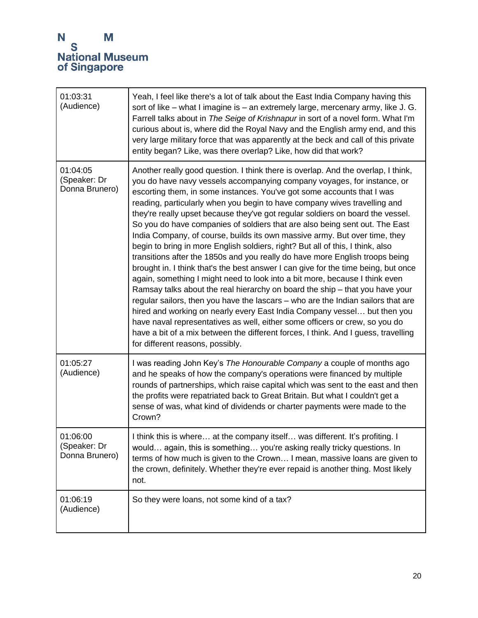| 01:03:31<br>(Audience)                     | Yeah, I feel like there's a lot of talk about the East India Company having this<br>sort of like - what I imagine is - an extremely large, mercenary army, like J. G.<br>Farrell talks about in The Seige of Krishnapur in sort of a novel form. What I'm<br>curious about is, where did the Royal Navy and the English army end, and this<br>very large military force that was apparently at the beck and call of this private<br>entity began? Like, was there overlap? Like, how did that work?                                                                                                                                                                                                                                                                                                                                                                                                                                                                                                                                                                                                                                                                                                                                                                                                                                                                |
|--------------------------------------------|--------------------------------------------------------------------------------------------------------------------------------------------------------------------------------------------------------------------------------------------------------------------------------------------------------------------------------------------------------------------------------------------------------------------------------------------------------------------------------------------------------------------------------------------------------------------------------------------------------------------------------------------------------------------------------------------------------------------------------------------------------------------------------------------------------------------------------------------------------------------------------------------------------------------------------------------------------------------------------------------------------------------------------------------------------------------------------------------------------------------------------------------------------------------------------------------------------------------------------------------------------------------------------------------------------------------------------------------------------------------|
| 01:04:05<br>(Speaker: Dr<br>Donna Brunero) | Another really good question. I think there is overlap. And the overlap, I think,<br>you do have navy vessels accompanying company voyages, for instance, or<br>escorting them, in some instances. You've got some accounts that I was<br>reading, particularly when you begin to have company wives travelling and<br>they're really upset because they've got regular soldiers on board the vessel.<br>So you do have companies of soldiers that are also being sent out. The East<br>India Company, of course, builds its own massive army. But over time, they<br>begin to bring in more English soldiers, right? But all of this, I think, also<br>transitions after the 1850s and you really do have more English troops being<br>brought in. I think that's the best answer I can give for the time being, but once<br>again, something I might need to look into a bit more, because I think even<br>Ramsay talks about the real hierarchy on board the ship – that you have your<br>regular sailors, then you have the lascars - who are the Indian sailors that are<br>hired and working on nearly every East India Company vessel but then you<br>have naval representatives as well, either some officers or crew, so you do<br>have a bit of a mix between the different forces, I think. And I guess, travelling<br>for different reasons, possibly. |
| 01:05:27<br>(Audience)                     | I was reading John Key's The Honourable Company a couple of months ago<br>and he speaks of how the company's operations were financed by multiple<br>rounds of partnerships, which raise capital which was sent to the east and then<br>the profits were repatriated back to Great Britain. But what I couldn't get a<br>sense of was, what kind of dividends or charter payments were made to the<br>Crown?                                                                                                                                                                                                                                                                                                                                                                                                                                                                                                                                                                                                                                                                                                                                                                                                                                                                                                                                                       |
| 01:06:00<br>(Speaker: Dr<br>Donna Brunero) | I think this is where at the company itself was different. It's profiting. I<br>would again, this is something you're asking really tricky questions. In<br>terms of how much is given to the Crown I mean, massive loans are given to<br>the crown, definitely. Whether they're ever repaid is another thing. Most likely<br>not.                                                                                                                                                                                                                                                                                                                                                                                                                                                                                                                                                                                                                                                                                                                                                                                                                                                                                                                                                                                                                                 |
| 01:06:19<br>(Audience)                     | So they were loans, not some kind of a tax?                                                                                                                                                                                                                                                                                                                                                                                                                                                                                                                                                                                                                                                                                                                                                                                                                                                                                                                                                                                                                                                                                                                                                                                                                                                                                                                        |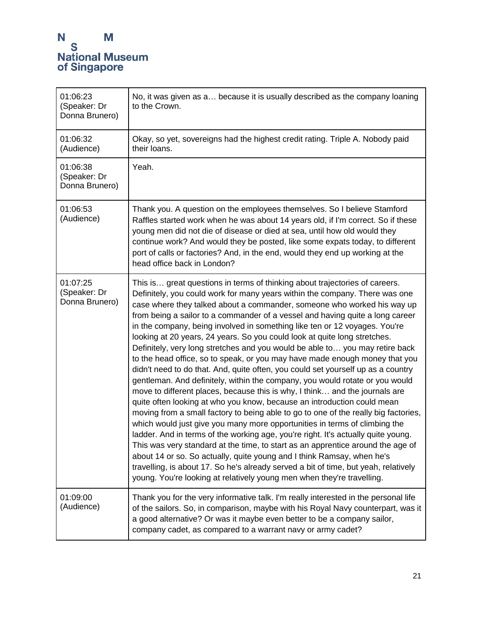| 01:06:23<br>(Speaker: Dr<br>Donna Brunero) | No, it was given as a because it is usually described as the company loaning<br>to the Crown.                                                                                                                                                                                                                                                                                                                                                                                                                                                                                                                                                                                                                                                                                                                                                                                                                                                                                                                                                                                                                                                                                                                                                                                                                                                                                                                                                                                                                                                                          |
|--------------------------------------------|------------------------------------------------------------------------------------------------------------------------------------------------------------------------------------------------------------------------------------------------------------------------------------------------------------------------------------------------------------------------------------------------------------------------------------------------------------------------------------------------------------------------------------------------------------------------------------------------------------------------------------------------------------------------------------------------------------------------------------------------------------------------------------------------------------------------------------------------------------------------------------------------------------------------------------------------------------------------------------------------------------------------------------------------------------------------------------------------------------------------------------------------------------------------------------------------------------------------------------------------------------------------------------------------------------------------------------------------------------------------------------------------------------------------------------------------------------------------------------------------------------------------------------------------------------------------|
| 01:06:32<br>(Audience)                     | Okay, so yet, sovereigns had the highest credit rating. Triple A. Nobody paid<br>their loans.                                                                                                                                                                                                                                                                                                                                                                                                                                                                                                                                                                                                                                                                                                                                                                                                                                                                                                                                                                                                                                                                                                                                                                                                                                                                                                                                                                                                                                                                          |
| 01:06:38<br>(Speaker: Dr<br>Donna Brunero) | Yeah.                                                                                                                                                                                                                                                                                                                                                                                                                                                                                                                                                                                                                                                                                                                                                                                                                                                                                                                                                                                                                                                                                                                                                                                                                                                                                                                                                                                                                                                                                                                                                                  |
| 01:06:53<br>(Audience)                     | Thank you. A question on the employees themselves. So I believe Stamford<br>Raffles started work when he was about 14 years old, if I'm correct. So if these<br>young men did not die of disease or died at sea, until how old would they<br>continue work? And would they be posted, like some expats today, to different<br>port of calls or factories? And, in the end, would they end up working at the<br>head office back in London?                                                                                                                                                                                                                                                                                                                                                                                                                                                                                                                                                                                                                                                                                                                                                                                                                                                                                                                                                                                                                                                                                                                             |
| 01:07:25<br>(Speaker: Dr<br>Donna Brunero) | This is great questions in terms of thinking about trajectories of careers.<br>Definitely, you could work for many years within the company. There was one<br>case where they talked about a commander, someone who worked his way up<br>from being a sailor to a commander of a vessel and having quite a long career<br>in the company, being involved in something like ten or 12 voyages. You're<br>looking at 20 years, 24 years. So you could look at quite long stretches.<br>Definitely, very long stretches and you would be able to you may retire back<br>to the head office, so to speak, or you may have made enough money that you<br>didn't need to do that. And, quite often, you could set yourself up as a country<br>gentleman. And definitely, within the company, you would rotate or you would<br>move to different places, because this is why, I think and the journals are<br>quite often looking at who you know, because an introduction could mean<br>moving from a small factory to being able to go to one of the really big factories,<br>which would just give you many more opportunities in terms of climbing the<br>ladder. And in terms of the working age, you're right. It's actually quite young.<br>This was very standard at the time, to start as an apprentice around the age of<br>about 14 or so. So actually, quite young and I think Ramsay, when he's<br>travelling, is about 17. So he's already served a bit of time, but yeah, relatively<br>young. You're looking at relatively young men when they're travelling. |
| 01:09:00<br>(Audience)                     | Thank you for the very informative talk. I'm really interested in the personal life<br>of the sailors. So, in comparison, maybe with his Royal Navy counterpart, was it<br>a good alternative? Or was it maybe even better to be a company sailor,<br>company cadet, as compared to a warrant navy or army cadet?                                                                                                                                                                                                                                                                                                                                                                                                                                                                                                                                                                                                                                                                                                                                                                                                                                                                                                                                                                                                                                                                                                                                                                                                                                                      |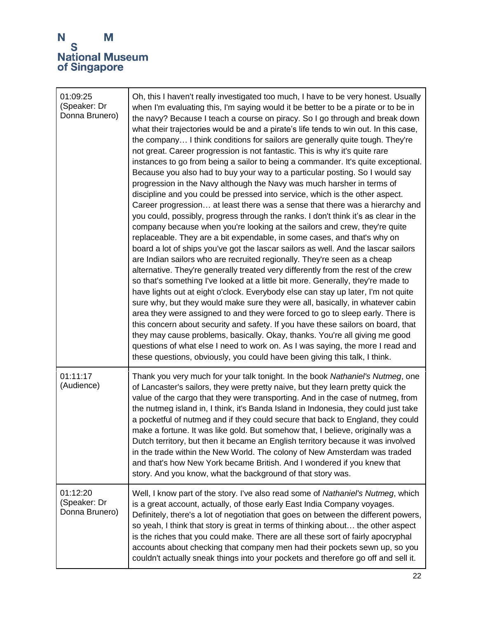| 01:09:25<br>(Speaker: Dr<br>Donna Brunero) | Oh, this I haven't really investigated too much, I have to be very honest. Usually<br>when I'm evaluating this, I'm saying would it be better to be a pirate or to be in<br>the navy? Because I teach a course on piracy. So I go through and break down<br>what their trajectories would be and a pirate's life tends to win out. In this case,<br>the company I think conditions for sailors are generally quite tough. They're<br>not great. Career progression is not fantastic. This is why it's quite rare<br>instances to go from being a sailor to being a commander. It's quite exceptional.<br>Because you also had to buy your way to a particular posting. So I would say<br>progression in the Navy although the Navy was much harsher in terms of<br>discipline and you could be pressed into service, which is the other aspect.<br>Career progression at least there was a sense that there was a hierarchy and<br>you could, possibly, progress through the ranks. I don't think it's as clear in the<br>company because when you're looking at the sailors and crew, they're quite<br>replaceable. They are a bit expendable, in some cases, and that's why on<br>board a lot of ships you've got the lascar sailors as well. And the lascar sailors<br>are Indian sailors who are recruited regionally. They're seen as a cheap<br>alternative. They're generally treated very differently from the rest of the crew<br>so that's something I've looked at a little bit more. Generally, they're made to<br>have lights out at eight o'clock. Everybody else can stay up later, I'm not quite<br>sure why, but they would make sure they were all, basically, in whatever cabin<br>area they were assigned to and they were forced to go to sleep early. There is<br>this concern about security and safety. If you have these sailors on board, that<br>they may cause problems, basically. Okay, thanks. You're all giving me good<br>questions of what else I need to work on. As I was saying, the more I read and<br>these questions, obviously, you could have been giving this talk, I think. |
|--------------------------------------------|-------------------------------------------------------------------------------------------------------------------------------------------------------------------------------------------------------------------------------------------------------------------------------------------------------------------------------------------------------------------------------------------------------------------------------------------------------------------------------------------------------------------------------------------------------------------------------------------------------------------------------------------------------------------------------------------------------------------------------------------------------------------------------------------------------------------------------------------------------------------------------------------------------------------------------------------------------------------------------------------------------------------------------------------------------------------------------------------------------------------------------------------------------------------------------------------------------------------------------------------------------------------------------------------------------------------------------------------------------------------------------------------------------------------------------------------------------------------------------------------------------------------------------------------------------------------------------------------------------------------------------------------------------------------------------------------------------------------------------------------------------------------------------------------------------------------------------------------------------------------------------------------------------------------------------------------------------------------------------------------------------------------------------------------------------------------------------------------------------------------------|
| 01:11:17<br>(Audience)                     | Thank you very much for your talk tonight. In the book Nathaniel's Nutmeg, one<br>of Lancaster's sailors, they were pretty naive, but they learn pretty quick the<br>value of the cargo that they were transporting. And in the case of nutmeg, from<br>the nutmeg island in, I think, it's Banda Island in Indonesia, they could just take<br>a pocketful of nutmeg and if they could secure that back to England, they could<br>make a fortune. It was like gold. But somehow that, I believe, originally was a<br>Dutch territory, but then it became an English territory because it was involved<br>in the trade within the New World. The colony of New Amsterdam was traded<br>and that's how New York became British. And I wondered if you knew that<br>story. And you know, what the background of that story was.                                                                                                                                                                                                                                                                                                                                                                                                                                                                                                                                                                                                                                                                                                                                                                                                                                                                                                                                                                                                                                                                                                                                                                                                                                                                                            |
| 01:12:20<br>(Speaker: Dr<br>Donna Brunero) | Well, I know part of the story. I've also read some of Nathaniel's Nutmeg, which<br>is a great account, actually, of those early East India Company voyages.<br>Definitely, there's a lot of negotiation that goes on between the different powers,<br>so yeah, I think that story is great in terms of thinking about the other aspect<br>is the riches that you could make. There are all these sort of fairly apocryphal<br>accounts about checking that company men had their pockets sewn up, so you<br>couldn't actually sneak things into your pockets and therefore go off and sell it.                                                                                                                                                                                                                                                                                                                                                                                                                                                                                                                                                                                                                                                                                                                                                                                                                                                                                                                                                                                                                                                                                                                                                                                                                                                                                                                                                                                                                                                                                                                         |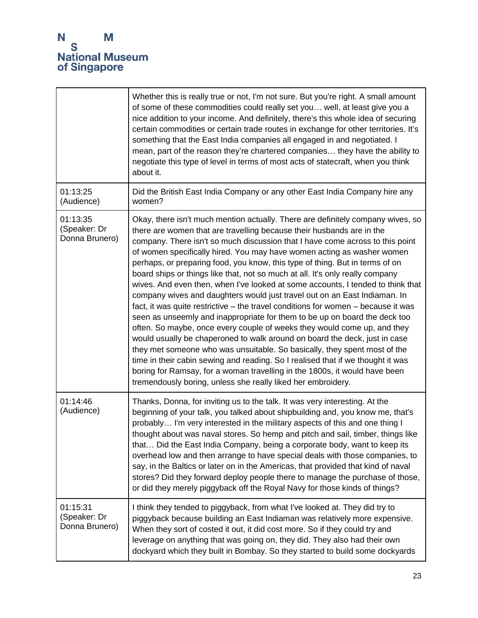|                                            | Whether this is really true or not, I'm not sure. But you're right. A small amount<br>of some of these commodities could really set you well, at least give you a<br>nice addition to your income. And definitely, there's this whole idea of securing<br>certain commodities or certain trade routes in exchange for other territories. It's<br>something that the East India companies all engaged in and negotiated. I<br>mean, part of the reason they're chartered companies they have the ability to<br>negotiate this type of level in terms of most acts of statecraft, when you think<br>about it.                                                                                                                                                                                                                                                                                                                                                                                                                                                                                                                                                                                                                                                                                     |
|--------------------------------------------|-------------------------------------------------------------------------------------------------------------------------------------------------------------------------------------------------------------------------------------------------------------------------------------------------------------------------------------------------------------------------------------------------------------------------------------------------------------------------------------------------------------------------------------------------------------------------------------------------------------------------------------------------------------------------------------------------------------------------------------------------------------------------------------------------------------------------------------------------------------------------------------------------------------------------------------------------------------------------------------------------------------------------------------------------------------------------------------------------------------------------------------------------------------------------------------------------------------------------------------------------------------------------------------------------|
| 01:13:25<br>(Audience)                     | Did the British East India Company or any other East India Company hire any<br>women?                                                                                                                                                                                                                                                                                                                                                                                                                                                                                                                                                                                                                                                                                                                                                                                                                                                                                                                                                                                                                                                                                                                                                                                                           |
| 01:13:35<br>(Speaker: Dr<br>Donna Brunero) | Okay, there isn't much mention actually. There are definitely company wives, so<br>there are women that are travelling because their husbands are in the<br>company. There isn't so much discussion that I have come across to this point<br>of women specifically hired. You may have women acting as washer women<br>perhaps, or preparing food, you know, this type of thing. But in terms of on<br>board ships or things like that, not so much at all. It's only really company<br>wives. And even then, when I've looked at some accounts, I tended to think that<br>company wives and daughters would just travel out on an East Indiaman. In<br>fact, it was quite restrictive – the travel conditions for women – because it was<br>seen as unseemly and inappropriate for them to be up on board the deck too<br>often. So maybe, once every couple of weeks they would come up, and they<br>would usually be chaperoned to walk around on board the deck, just in case<br>they met someone who was unsuitable. So basically, they spent most of the<br>time in their cabin sewing and reading. So I realised that if we thought it was<br>boring for Ramsay, for a woman travelling in the 1800s, it would have been<br>tremendously boring, unless she really liked her embroidery. |
| 01:14:46<br>(Audience)                     | Thanks, Donna, for inviting us to the talk. It was very interesting. At the<br>beginning of your talk, you talked about shipbuilding and, you know me, that's<br>probably I'm very interested in the military aspects of this and one thing I<br>thought about was naval stores. So hemp and pitch and sail, timber, things like<br>that Did the East India Company, being a corporate body, want to keep its<br>overhead low and then arrange to have special deals with those companies, to<br>say, in the Baltics or later on in the Americas, that provided that kind of naval<br>stores? Did they forward deploy people there to manage the purchase of those,<br>or did they merely piggyback off the Royal Navy for those kinds of things?                                                                                                                                                                                                                                                                                                                                                                                                                                                                                                                                               |
| 01:15:31<br>(Speaker: Dr<br>Donna Brunero) | I think they tended to piggyback, from what I've looked at. They did try to<br>piggyback because building an East Indiaman was relatively more expensive.<br>When they sort of costed it out, it did cost more. So if they could try and<br>leverage on anything that was going on, they did. They also had their own<br>dockyard which they built in Bombay. So they started to build some dockyards                                                                                                                                                                                                                                                                                                                                                                                                                                                                                                                                                                                                                                                                                                                                                                                                                                                                                           |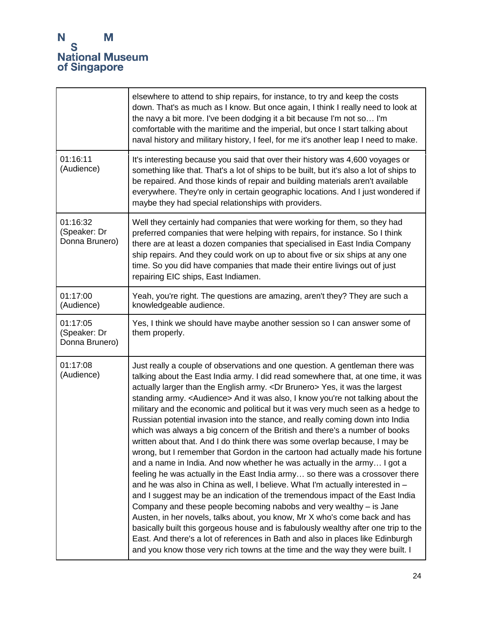|                                            | elsewhere to attend to ship repairs, for instance, to try and keep the costs<br>down. That's as much as I know. But once again, I think I really need to look at<br>the navy a bit more. I've been dodging it a bit because I'm not so I'm<br>comfortable with the maritime and the imperial, but once I start talking about<br>naval history and military history, I feel, for me it's another leap I need to make.                                                                                                                                                                                                                                                                                                                                                                                                                                                                                                                                                                                                                                                                                                                                                                                                                                                                                                                                                                                                                                                                                      |
|--------------------------------------------|-----------------------------------------------------------------------------------------------------------------------------------------------------------------------------------------------------------------------------------------------------------------------------------------------------------------------------------------------------------------------------------------------------------------------------------------------------------------------------------------------------------------------------------------------------------------------------------------------------------------------------------------------------------------------------------------------------------------------------------------------------------------------------------------------------------------------------------------------------------------------------------------------------------------------------------------------------------------------------------------------------------------------------------------------------------------------------------------------------------------------------------------------------------------------------------------------------------------------------------------------------------------------------------------------------------------------------------------------------------------------------------------------------------------------------------------------------------------------------------------------------------|
| 01:16:11<br>(Audience)                     | It's interesting because you said that over their history was 4,600 voyages or<br>something like that. That's a lot of ships to be built, but it's also a lot of ships to<br>be repaired. And those kinds of repair and building materials aren't available<br>everywhere. They're only in certain geographic locations. And I just wondered if<br>maybe they had special relationships with providers.                                                                                                                                                                                                                                                                                                                                                                                                                                                                                                                                                                                                                                                                                                                                                                                                                                                                                                                                                                                                                                                                                                   |
| 01:16:32<br>(Speaker: Dr<br>Donna Brunero) | Well they certainly had companies that were working for them, so they had<br>preferred companies that were helping with repairs, for instance. So I think<br>there are at least a dozen companies that specialised in East India Company<br>ship repairs. And they could work on up to about five or six ships at any one<br>time. So you did have companies that made their entire livings out of just<br>repairing EIC ships, East Indiamen.                                                                                                                                                                                                                                                                                                                                                                                                                                                                                                                                                                                                                                                                                                                                                                                                                                                                                                                                                                                                                                                            |
| 01:17:00<br>(Audience)                     | Yeah, you're right. The questions are amazing, aren't they? They are such a<br>knowledgeable audience.                                                                                                                                                                                                                                                                                                                                                                                                                                                                                                                                                                                                                                                                                                                                                                                                                                                                                                                                                                                                                                                                                                                                                                                                                                                                                                                                                                                                    |
| 01:17:05<br>(Speaker: Dr<br>Donna Brunero) | Yes, I think we should have maybe another session so I can answer some of<br>them properly.                                                                                                                                                                                                                                                                                                                                                                                                                                                                                                                                                                                                                                                                                                                                                                                                                                                                                                                                                                                                                                                                                                                                                                                                                                                                                                                                                                                                               |
| 01:17:08<br>(Audience)                     | Just really a couple of observations and one question. A gentleman there was<br>talking about the East India army. I did read somewhere that, at one time, it was<br>actually larger than the English army. < Dr Brunero > Yes, it was the largest<br>standing army. < Audience> And it was also, I know you're not talking about the<br>military and the economic and political but it was very much seen as a hedge to<br>Russian potential invasion into the stance, and really coming down into India<br>which was always a big concern of the British and there's a number of books<br>written about that. And I do think there was some overlap because, I may be<br>wrong, but I remember that Gordon in the cartoon had actually made his fortune<br>and a name in India. And now whether he was actually in the army I got a<br>feeling he was actually in the East India army so there was a crossover there<br>and he was also in China as well, I believe. What I'm actually interested in -<br>and I suggest may be an indication of the tremendous impact of the East India<br>Company and these people becoming nabobs and very wealthy - is Jane<br>Austen, in her novels, talks about, you know, Mr X who's come back and has<br>basically built this gorgeous house and is fabulously wealthy after one trip to the<br>East. And there's a lot of references in Bath and also in places like Edinburgh<br>and you know those very rich towns at the time and the way they were built. I |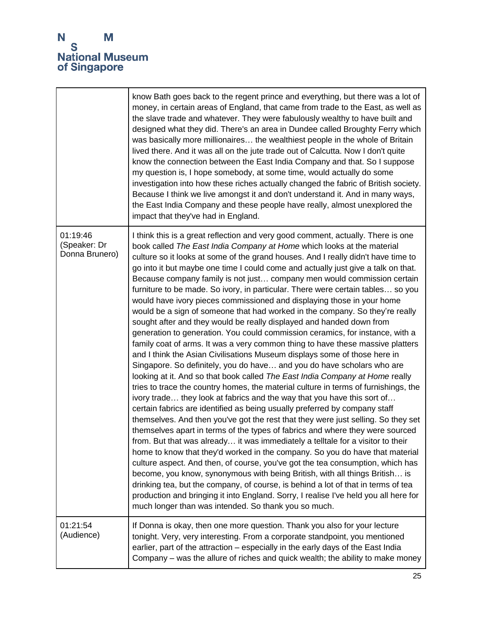|                                            | know Bath goes back to the regent prince and everything, but there was a lot of<br>money, in certain areas of England, that came from trade to the East, as well as<br>the slave trade and whatever. They were fabulously wealthy to have built and<br>designed what they did. There's an area in Dundee called Broughty Ferry which<br>was basically more millionaires the wealthiest people in the whole of Britain<br>lived there. And it was all on the jute trade out of Calcutta. Now I don't quite<br>know the connection between the East India Company and that. So I suppose<br>my question is, I hope somebody, at some time, would actually do some<br>investigation into how these riches actually changed the fabric of British society.<br>Because I think we live amongst it and don't understand it. And in many ways,<br>the East India Company and these people have really, almost unexplored the<br>impact that they've had in England.                                                                                                                                                                                                                                                                                                                                                                                                                                                                                                                                                                                                                                                                                                                                                                                                                                                                                                                                                                                                                                                                                                                                                                                  |
|--------------------------------------------|-----------------------------------------------------------------------------------------------------------------------------------------------------------------------------------------------------------------------------------------------------------------------------------------------------------------------------------------------------------------------------------------------------------------------------------------------------------------------------------------------------------------------------------------------------------------------------------------------------------------------------------------------------------------------------------------------------------------------------------------------------------------------------------------------------------------------------------------------------------------------------------------------------------------------------------------------------------------------------------------------------------------------------------------------------------------------------------------------------------------------------------------------------------------------------------------------------------------------------------------------------------------------------------------------------------------------------------------------------------------------------------------------------------------------------------------------------------------------------------------------------------------------------------------------------------------------------------------------------------------------------------------------------------------------------------------------------------------------------------------------------------------------------------------------------------------------------------------------------------------------------------------------------------------------------------------------------------------------------------------------------------------------------------------------------------------------------------------------------------------------------------------------|
| 01:19:46<br>(Speaker: Dr<br>Donna Brunero) | I think this is a great reflection and very good comment, actually. There is one<br>book called The East India Company at Home which looks at the material<br>culture so it looks at some of the grand houses. And I really didn't have time to<br>go into it but maybe one time I could come and actually just give a talk on that.<br>Because company family is not just company men would commission certain<br>furniture to be made. So ivory, in particular. There were certain tables so you<br>would have ivory pieces commissioned and displaying those in your home<br>would be a sign of someone that had worked in the company. So they're really<br>sought after and they would be really displayed and handed down from<br>generation to generation. You could commission ceramics, for instance, with a<br>family coat of arms. It was a very common thing to have these massive platters<br>and I think the Asian Civilisations Museum displays some of those here in<br>Singapore. So definitely, you do have and you do have scholars who are<br>looking at it. And so that book called The East India Company at Home really<br>tries to trace the country homes, the material culture in terms of furnishings, the<br>ivory trade they look at fabrics and the way that you have this sort of<br>certain fabrics are identified as being usually preferred by company staff<br>themselves. And then you've got the rest that they were just selling. So they set<br>themselves apart in terms of the types of fabrics and where they were sourced<br>from. But that was already it was immediately a telltale for a visitor to their<br>home to know that they'd worked in the company. So you do have that material<br>culture aspect. And then, of course, you've got the tea consumption, which has<br>become, you know, synonymous with being British, with all things British is<br>drinking tea, but the company, of course, is behind a lot of that in terms of tea<br>production and bringing it into England. Sorry, I realise I've held you all here for<br>much longer than was intended. So thank you so much. |
| 01:21:54<br>(Audience)                     | If Donna is okay, then one more question. Thank you also for your lecture<br>tonight. Very, very interesting. From a corporate standpoint, you mentioned<br>earlier, part of the attraction - especially in the early days of the East India<br>Company - was the allure of riches and quick wealth; the ability to make money                                                                                                                                                                                                                                                                                                                                                                                                                                                                                                                                                                                                                                                                                                                                                                                                                                                                                                                                                                                                                                                                                                                                                                                                                                                                                                                                                                                                                                                                                                                                                                                                                                                                                                                                                                                                                |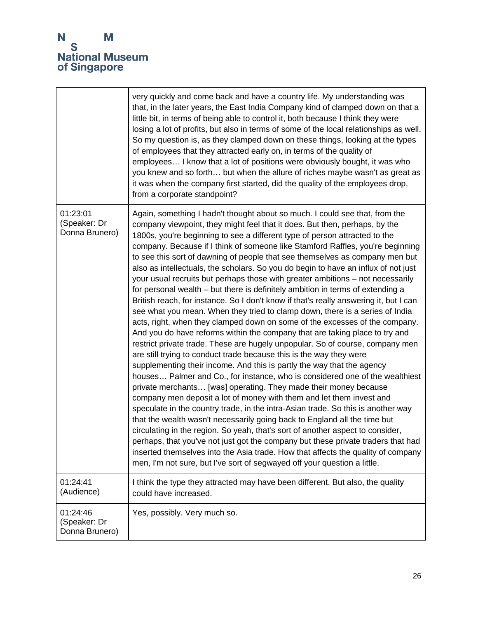|                                            | very quickly and come back and have a country life. My understanding was<br>that, in the later years, the East India Company kind of clamped down on that a<br>little bit, in terms of being able to control it, both because I think they were<br>losing a lot of profits, but also in terms of some of the local relationships as well.<br>So my question is, as they clamped down on these things, looking at the types<br>of employees that they attracted early on, in terms of the quality of<br>employees I know that a lot of positions were obviously bought, it was who<br>you knew and so forth but when the allure of riches maybe wasn't as great as<br>it was when the company first started, did the quality of the employees drop,<br>from a corporate standpoint?                                                                                                                                                                                                                                                                                                                                                                                                                                                                                                                                                                                                                                                                                                                                                                                                                                                                                                                                                                                                                                                                                                                                                                                              |
|--------------------------------------------|---------------------------------------------------------------------------------------------------------------------------------------------------------------------------------------------------------------------------------------------------------------------------------------------------------------------------------------------------------------------------------------------------------------------------------------------------------------------------------------------------------------------------------------------------------------------------------------------------------------------------------------------------------------------------------------------------------------------------------------------------------------------------------------------------------------------------------------------------------------------------------------------------------------------------------------------------------------------------------------------------------------------------------------------------------------------------------------------------------------------------------------------------------------------------------------------------------------------------------------------------------------------------------------------------------------------------------------------------------------------------------------------------------------------------------------------------------------------------------------------------------------------------------------------------------------------------------------------------------------------------------------------------------------------------------------------------------------------------------------------------------------------------------------------------------------------------------------------------------------------------------------------------------------------------------------------------------------------------------|
| 01:23:01<br>(Speaker: Dr<br>Donna Brunero) | Again, something I hadn't thought about so much. I could see that, from the<br>company viewpoint, they might feel that it does. But then, perhaps, by the<br>1800s, you're beginning to see a different type of person attracted to the<br>company. Because if I think of someone like Stamford Raffles, you're beginning<br>to see this sort of dawning of people that see themselves as company men but<br>also as intellectuals, the scholars. So you do begin to have an influx of not just<br>your usual recruits but perhaps those with greater ambitions – not necessarily<br>for personal wealth – but there is definitely ambition in terms of extending a<br>British reach, for instance. So I don't know if that's really answering it, but I can<br>see what you mean. When they tried to clamp down, there is a series of India<br>acts, right, when they clamped down on some of the excesses of the company.<br>And you do have reforms within the company that are taking place to try and<br>restrict private trade. These are hugely unpopular. So of course, company men<br>are still trying to conduct trade because this is the way they were<br>supplementing their income. And this is partly the way that the agency<br>houses Palmer and Co., for instance, who is considered one of the wealthiest<br>private merchants [was] operating. They made their money because<br>company men deposit a lot of money with them and let them invest and<br>speculate in the country trade, in the intra-Asian trade. So this is another way<br>that the wealth wasn't necessarily going back to England all the time but<br>circulating in the region. So yeah, that's sort of another aspect to consider,<br>perhaps, that you've not just got the company but these private traders that had<br>inserted themselves into the Asia trade. How that affects the quality of company<br>men, I'm not sure, but I've sort of segwayed off your question a little. |
| 01:24:41<br>(Audience)                     | I think the type they attracted may have been different. But also, the quality<br>could have increased.                                                                                                                                                                                                                                                                                                                                                                                                                                                                                                                                                                                                                                                                                                                                                                                                                                                                                                                                                                                                                                                                                                                                                                                                                                                                                                                                                                                                                                                                                                                                                                                                                                                                                                                                                                                                                                                                         |
| 01:24:46<br>(Speaker: Dr<br>Donna Brunero) | Yes, possibly. Very much so.                                                                                                                                                                                                                                                                                                                                                                                                                                                                                                                                                                                                                                                                                                                                                                                                                                                                                                                                                                                                                                                                                                                                                                                                                                                                                                                                                                                                                                                                                                                                                                                                                                                                                                                                                                                                                                                                                                                                                    |